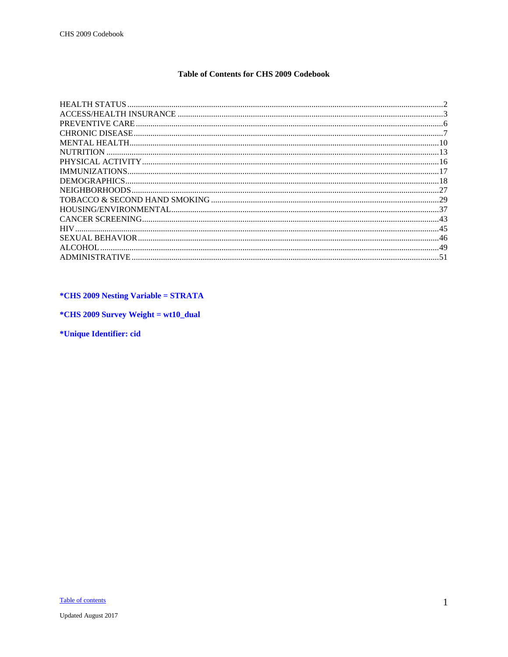## **Table of Contents for CHS 2009 Codebook**

<span id="page-0-1"></span><span id="page-0-0"></span>

| ALCOHOL. |  |
|----------|--|
|          |  |

# *\*CHS 2009 Nesting Variable = STRATA*

\*CHS 2009 Survey Weight = wt10\_dual

\*Unique Identifier: cid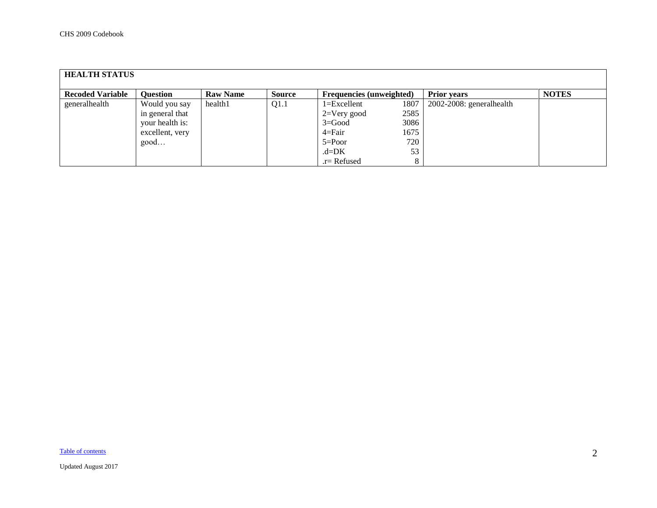<span id="page-1-0"></span>

| <b>HEALTH STATUS</b>    |                                                                                |                 |               |                                                                                                           |                                                |                          |              |  |  |  |
|-------------------------|--------------------------------------------------------------------------------|-----------------|---------------|-----------------------------------------------------------------------------------------------------------|------------------------------------------------|--------------------------|--------------|--|--|--|
| <b>Recoded Variable</b> | <b>Question</b>                                                                | <b>Raw Name</b> | <b>Source</b> | <b>Frequencies (unweighted)</b>                                                                           |                                                | <b>Prior years</b>       | <b>NOTES</b> |  |  |  |
| generalhealth           | Would you say<br>in general that<br>your health is:<br>excellent, very<br>good | health1         | Q1.1          | $1 = Excellent$<br>$2=V$ ery good<br>$3 = Good$<br>$4 = Fair$<br>$5 = Poor$<br>$d = DK$<br>$.r =$ Refused | 1807<br>2585<br>3086<br>1675<br>720<br>53<br>8 | 2002-2008: generalhealth |              |  |  |  |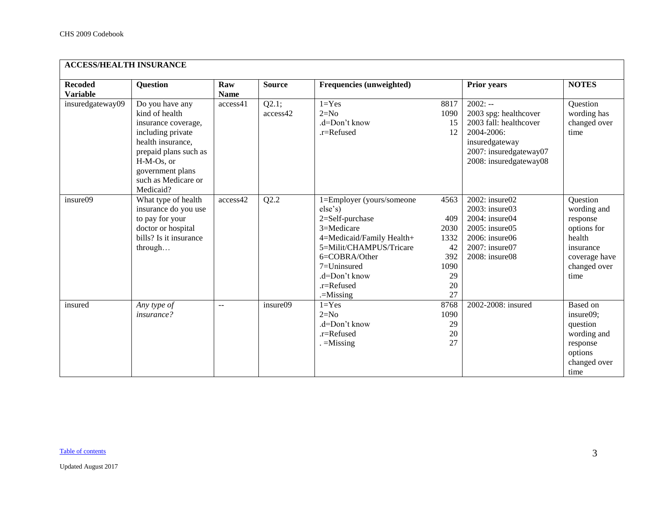<span id="page-2-0"></span>

| <b>ACCESS/HEALTH INSURANCE</b>    |                                                                                                                                                                                                   |                    |                   |                                                                                                                                                                                                             |                                                                    |                                                                                                                                                  |                                                                                                                    |  |  |  |
|-----------------------------------|---------------------------------------------------------------------------------------------------------------------------------------------------------------------------------------------------|--------------------|-------------------|-------------------------------------------------------------------------------------------------------------------------------------------------------------------------------------------------------------|--------------------------------------------------------------------|--------------------------------------------------------------------------------------------------------------------------------------------------|--------------------------------------------------------------------------------------------------------------------|--|--|--|
| <b>Recoded</b><br><b>Variable</b> | <b>Question</b>                                                                                                                                                                                   | Raw<br><b>Name</b> | <b>Source</b>     | <b>Frequencies (unweighted)</b>                                                                                                                                                                             |                                                                    | Prior years                                                                                                                                      | <b>NOTES</b>                                                                                                       |  |  |  |
| insuredgateway09                  | Do you have any<br>kind of health<br>insurance coverage,<br>including private<br>health insurance,<br>prepaid plans such as<br>H-M-Os, or<br>government plans<br>such as Medicare or<br>Medicaid? | access41           | Q2.1;<br>access42 | $1 = Yes$<br>$2=N0$<br>.d=Don't know<br>$.r =$ Refused                                                                                                                                                      | 8817<br>1090<br>15<br>12                                           | $2002: -$<br>2003 spg: healthcover<br>2003 fall: healthcover<br>2004-2006:<br>insuredgateway<br>2007: insuredgateway07<br>2008: insuredgateway08 | Question<br>wording has<br>changed over<br>time                                                                    |  |  |  |
| insure09                          | What type of health<br>insurance do you use<br>to pay for your<br>doctor or hospital<br>bills? Is it insurance<br>through                                                                         | access42           | Q2.2              | 1=Employer (yours/someone<br>else's)<br>2=Self-purchase<br>3=Medicare<br>4=Medicaid/Family Health+<br>5=Milit/CHAMPUS/Tricare<br>6=COBRA/Other<br>7=Uninsured<br>.d=Don't know<br>.r=Refused<br>$=$ Missing | 4563<br>409<br>2030<br>1332<br>42<br>392<br>1090<br>29<br>20<br>27 | $2002$ : insure02<br>2003: insure03<br>2004: insure04<br>2005: insure05<br>2006: insure06<br>2007: insure07<br>2008: insure08                    | Question<br>wording and<br>response<br>options for<br>health<br>insurance<br>coverage have<br>changed over<br>time |  |  |  |
| insured                           | Any type of<br>insurance?                                                                                                                                                                         | $-1$               | insure09          | $1 = Yes$<br>$2=N0$<br>.d=Don't know<br>.r=Refused<br>$=$ Missing                                                                                                                                           | 8768<br>1090<br>29<br>20<br>27                                     | 2002-2008: insured                                                                                                                               | Based on<br>insure09;<br>question<br>wording and<br>response<br>options<br>changed over<br>time                    |  |  |  |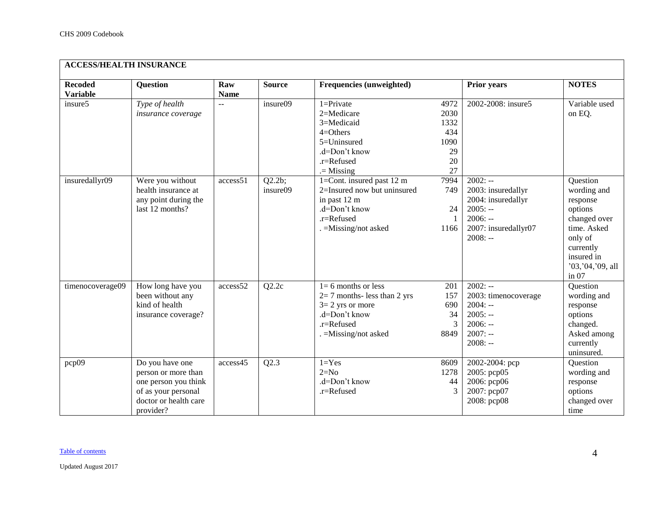| <b>ACCESS/HEALTH INSURANCE</b>    |                                                                                                                             |                           |                    |                                                                                                                                    |                                                       |                                                                                                                      |                                                                                                                                                    |
|-----------------------------------|-----------------------------------------------------------------------------------------------------------------------------|---------------------------|--------------------|------------------------------------------------------------------------------------------------------------------------------------|-------------------------------------------------------|----------------------------------------------------------------------------------------------------------------------|----------------------------------------------------------------------------------------------------------------------------------------------------|
| <b>Recoded</b><br><b>Variable</b> | <b>Question</b>                                                                                                             | Raw<br><b>Name</b>        | <b>Source</b>      | Frequencies (unweighted)                                                                                                           |                                                       | <b>Prior years</b>                                                                                                   | <b>NOTES</b>                                                                                                                                       |
| insure <sub>5</sub>               | Type of health<br><i>insurance coverage</i>                                                                                 | $\mathbb{L}^{\mathbb{L}}$ | insure09           | $1 =$ Private<br>2=Medicare<br>3=Medicaid<br>$4=O$ thers<br>5=Uninsured<br>.d=Don't know<br>$.r =$ Refused<br>$=$ Missing          | 4972<br>2030<br>1332<br>434<br>1090<br>29<br>20<br>27 | 2002-2008: insure5                                                                                                   | Variable used<br>on EQ.                                                                                                                            |
| insuredallyr09                    | Were you without<br>health insurance at<br>any point during the<br>last 12 months?                                          | access51                  | Q2.2b;<br>insure09 | 1=Cont. insured past 12 m<br>2=Insured now but uninsured<br>in past 12 m<br>.d=Don't know<br>.r=Refused<br>. = Missing/not asked   | 7994<br>749<br>24<br>-1<br>1166                       | $2002: -$<br>2003: insuredallyr<br>2004: insuredallyr<br>$2005: -$<br>$2006: -$<br>2007: insuredallyr07<br>$2008: -$ | Question<br>wording and<br>response<br>options<br>changed over<br>time. Asked<br>only of<br>currently<br>insured in<br>'03, '04, '09, all<br>in 07 |
| timenocoverage09                  | How long have you<br>been without any<br>kind of health<br>insurance coverage?                                              | access52                  | Q2.2c              | $1=6$ months or less<br>$2=7$ months- less than 2 yrs<br>$3=2$ yrs or more<br>.d=Don't know<br>.r=Refused<br>. = Missing/not asked | 201<br>157<br>690<br>34<br>3<br>8849                  | $2002: -$<br>2003: timenocoverage<br>$2004: -$<br>$2005: -$<br>$2006: -$<br>$2007: -$<br>$2008: -$                   | Question<br>wording and<br>response<br>options<br>changed.<br>Asked among<br>currently<br>uninsured.                                               |
| pcp09                             | Do you have one<br>person or more than<br>one person you think<br>of as your personal<br>doctor or health care<br>provider? | access45                  | Q2.3               | $1 = Yes$<br>$2=N0$<br>.d=Don't know<br>.r=Refused                                                                                 | 8609<br>1278<br>44<br>3                               | 2002-2004: pcp<br>2005: pcp05<br>2006: рер06<br>2007: pcp07<br>2008: pcp08                                           | Question<br>wording and<br>response<br>options<br>changed over<br>time                                                                             |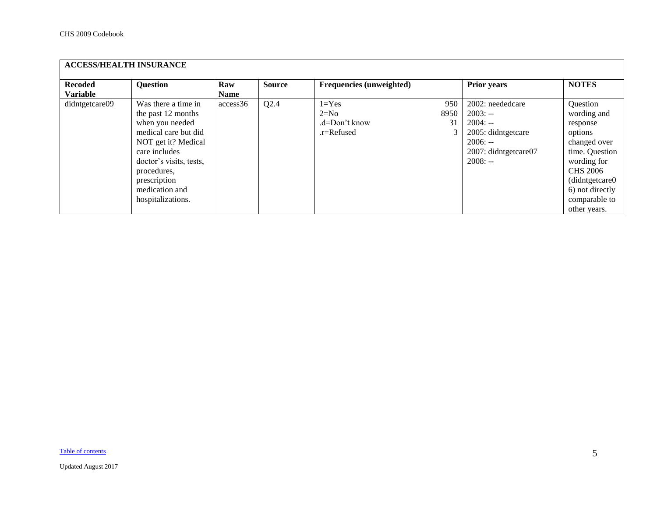| <b>ACCESS/HEALTH INSURANCE</b>    |                                                                                                                                                                                                                               |                    |               |                                                    |                   |                                                                                                                    |                                                                                                                                                                           |  |  |  |  |
|-----------------------------------|-------------------------------------------------------------------------------------------------------------------------------------------------------------------------------------------------------------------------------|--------------------|---------------|----------------------------------------------------|-------------------|--------------------------------------------------------------------------------------------------------------------|---------------------------------------------------------------------------------------------------------------------------------------------------------------------------|--|--|--|--|
| <b>Recoded</b><br><b>Variable</b> | <b>Question</b>                                                                                                                                                                                                               | Raw<br><b>Name</b> | <b>Source</b> | Frequencies (unweighted)                           |                   | <b>Prior</b> years                                                                                                 | <b>NOTES</b>                                                                                                                                                              |  |  |  |  |
| didntgetcare09                    | Was there a time in<br>the past 12 months<br>when you needed<br>medical care but did<br>NOT get it? Medical<br>care includes<br>doctor's visits, tests,<br>procedures,<br>prescription<br>medication and<br>hospitalizations. | access36           | Q2.4          | $1 = Yes$<br>$2=N0$<br>.d=Don't know<br>.r=Refused | 950<br>8950<br>31 | 2002: neededcare<br>$2003: -$<br>$2004: -$<br>2005: didntgetcare<br>$2006: -$<br>2007: didntgetcare07<br>$2008: -$ | Question<br>wording and<br>response<br>options<br>changed over<br>time. Question<br>wording for<br><b>CHS 2006</b><br>(didntgetcare0)<br>6) not directly<br>comparable to |  |  |  |  |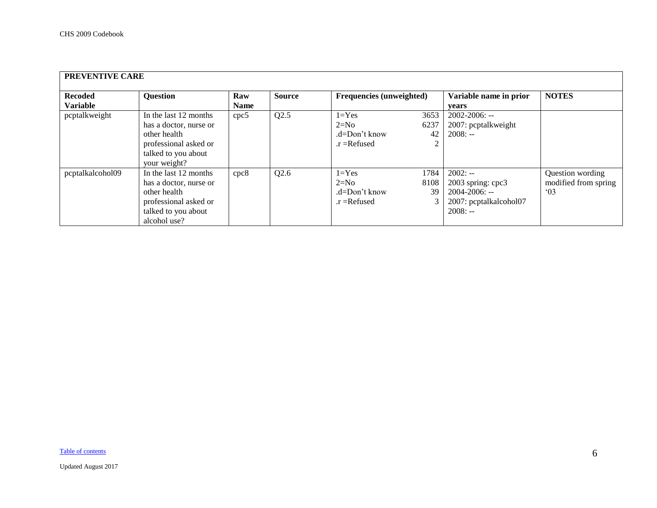<span id="page-5-0"></span>

| <b>PREVENTIVE CARE</b> |                        |                  |               |                                 |               |                        |                      |
|------------------------|------------------------|------------------|---------------|---------------------------------|---------------|------------------------|----------------------|
| <b>Recoded</b>         | <b>Question</b>        | Raw              | <b>Source</b> | <b>Frequencies (unweighted)</b> |               | Variable name in prior | <b>NOTES</b>         |
| <b>Variable</b>        |                        | <b>Name</b>      |               |                                 |               | vears                  |                      |
| pcptalkweight          | In the last 12 months  | cpc <sub>5</sub> | Q2.5          | $1 = Yes$                       | 3653          | $2002 - 2006$ : --     |                      |
|                        | has a doctor, nurse or |                  |               | $2=N0$                          | 6237          | 2007: pcptalkweight    |                      |
|                        | other health           |                  |               | $d = Don't know$                | 42            | $2008: -$              |                      |
|                        | professional asked or  |                  |               | $.r =$ Refused                  | 2             |                        |                      |
|                        | talked to you about    |                  |               |                                 |               |                        |                      |
|                        | your weight?           |                  |               |                                 |               |                        |                      |
| pcptalkalcohol09       | In the last 12 months  | cpc8             | Q2.6          | $1 = Yes$                       | 1784          | $2002: -$              | Question wording     |
|                        | has a doctor, nurse or |                  |               | $2=N0$                          | 8108          | 2003 spring: cpc3      | modified from spring |
|                        | other health           |                  |               | $d = Don't know$                | 39            | $2004 - 2006$ : --     | $^{\circ}03$         |
|                        | professional asked or  |                  |               | $\mathbf{r}$ = Refused          | $\mathcal{R}$ | 2007: pcptalkalcohol07 |                      |
|                        | talked to you about    |                  |               |                                 |               | $2008: -$              |                      |
|                        | alcohol use?           |                  |               |                                 |               |                        |                      |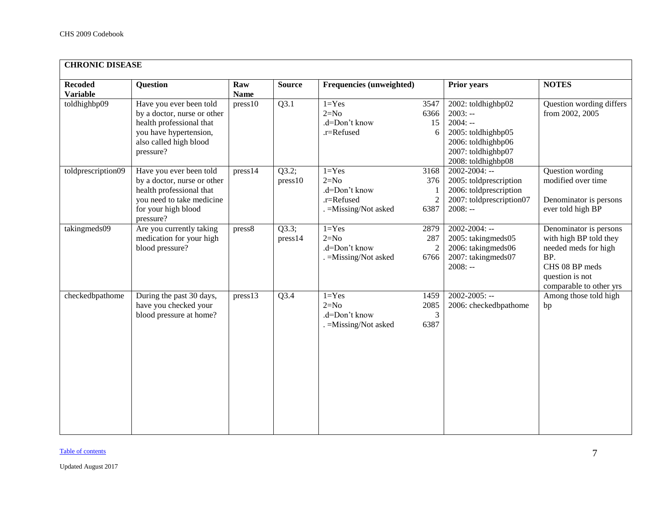<span id="page-6-0"></span>

| <b>CHRONIC DISEASE</b>            |                                                                                                                                                     |                    |                  |                                                                            |                                       |                                                                                                                                      |                                                                                                                                                 |
|-----------------------------------|-----------------------------------------------------------------------------------------------------------------------------------------------------|--------------------|------------------|----------------------------------------------------------------------------|---------------------------------------|--------------------------------------------------------------------------------------------------------------------------------------|-------------------------------------------------------------------------------------------------------------------------------------------------|
| <b>Recoded</b><br><b>Variable</b> | <b>Question</b>                                                                                                                                     | Raw<br><b>Name</b> | <b>Source</b>    | <b>Frequencies (unweighted)</b>                                            |                                       | <b>Prior years</b>                                                                                                                   | <b>NOTES</b>                                                                                                                                    |
| toldhighbp09                      | Have you ever been told<br>by a doctor, nurse or other<br>health professional that<br>you have hypertension,<br>also called high blood<br>pressure? | press10            | Q3.1             | $1 = Yes$<br>$2=N0$<br>.d=Don't know<br>.r=Refused                         | 3547<br>6366<br>15<br>6               | 2002: toldhighbp02<br>$2003: -$<br>$2004: -$<br>2005: toldhighbp05<br>2006: toldhighbp06<br>2007: toldhighbp07<br>2008: toldhighbp08 | Question wording differs<br>from 2002, 2005                                                                                                     |
| toldprescription09                | Have you ever been told<br>by a doctor, nurse or other<br>health professional that<br>you need to take medicine<br>for your high blood<br>pressure? | press14            | Q3.2;<br>press10 | $1 = Yes$<br>$2=N0$<br>.d=Don't know<br>.r=Refused<br>$=Missing/Not$ asked | 3168<br>376<br>$\overline{2}$<br>6387 | $2002 - 2004$ : --<br>2005: toldprescription<br>2006: toldprescription<br>2007: toldprescription07<br>$2008: -$                      | Question wording<br>modified over time<br>Denominator is persons<br>ever told high BP                                                           |
| takingmeds09                      | Are you currently taking<br>medication for your high<br>blood pressure?                                                                             | press8             | Q3.3;<br>press14 | $1 = Yes$<br>$2=N0$<br>.d=Don't know<br>$=Missing/Not$ asked               | 2879<br>287<br>$\overline{c}$<br>6766 | $2002 - 2004$ : --<br>2005: takingmeds05<br>2006: takingmeds06<br>2007: takingmeds07<br>$2008: -$                                    | Denominator is persons<br>with high BP told they<br>needed meds for high<br>BP.<br>CHS 08 BP meds<br>question is not<br>comparable to other yrs |
| checkedbpathome                   | During the past 30 days,<br>have you checked your<br>blood pressure at home?                                                                        | press13            | Q3.4             | $1 = Yes$<br>$2=N0$<br>.d=Don't know<br>=Missing/Not asked                 | 1459<br>2085<br>3<br>6387             | $2002 - 2005$ : --<br>2006: checkedbpathome                                                                                          | Among those told high<br>bp                                                                                                                     |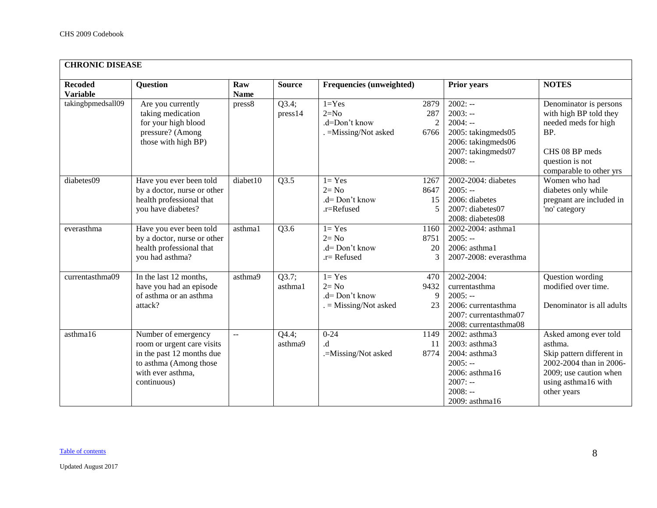| <b>CHRONIC DISEASE</b>            |                                                                                                                                              |                    |                  |                                                                  |                                       |                                                                                                                            |                                                                                                                                                          |
|-----------------------------------|----------------------------------------------------------------------------------------------------------------------------------------------|--------------------|------------------|------------------------------------------------------------------|---------------------------------------|----------------------------------------------------------------------------------------------------------------------------|----------------------------------------------------------------------------------------------------------------------------------------------------------|
| <b>Recoded</b><br><b>Variable</b> | <b>Question</b>                                                                                                                              | Raw<br><b>Name</b> | <b>Source</b>    | <b>Frequencies (unweighted)</b>                                  |                                       | <b>Prior years</b>                                                                                                         | <b>NOTES</b>                                                                                                                                             |
| takingbpmedsall09                 | Are you currently<br>taking medication<br>for your high blood<br>pressure? (Among<br>those with high BP)                                     | press8             | Q3.4;<br>press14 | $1 = Yes$<br>$2=N0$<br>.d=Don't know<br>. = Missing/Not asked    | 2879<br>287<br>$\overline{2}$<br>6766 | $2002: -$<br>$2003: -$<br>$2004: -$<br>2005: takingmeds05<br>2006: takingmeds06<br>2007: takingmeds07<br>$2008: -$         | Denominator is persons<br>with high BP told they<br>needed meds for high<br>BP.<br>CHS 08 BP meds<br>question is not<br>comparable to other yrs          |
| diabetes09                        | Have you ever been told<br>by a doctor, nurse or other<br>health professional that<br>you have diabetes?                                     | diabet10           | Q3.5             | $1 = Yes$<br>$2 = No$<br>.d= Don't know<br>.r=Refused            | 1267<br>8647<br>15<br>5               | 2002-2004: diabetes<br>$2005: -$<br>2006: diabetes<br>2007: diabetes07<br>2008: diabetes08                                 | Women who had<br>diabetes only while<br>pregnant are included in<br>'no' category                                                                        |
| everasthma                        | Have you ever been told<br>by a doctor, nurse or other<br>health professional that<br>you had asthma?                                        | asthma1            | Q3.6             | $1 = Yes$<br>$2 = No$<br>.d= Don't know<br>$.r =$ Refused        | 1160<br>8751<br>20<br>3               | 2002-2004: asthma1<br>$2005: -$<br>2006: asthma1<br>2007-2008: everasthma                                                  |                                                                                                                                                          |
| currentasthma09                   | In the last 12 months,<br>have you had an episode<br>of asthma or an asthma<br>attack?                                                       | asthma9            | Q3.7;<br>asthma1 | $1 = Yes$<br>$2 = No$<br>.d= Don't know<br>$=$ Missing/Not asked | 470<br>9432<br>9<br>23                | 2002-2004:<br>currentasthma<br>$2005: -$<br>2006: currentasthma<br>2007: currentasthma07<br>2008: currentasthma08          | Question wording<br>modified over time.<br>Denominator is all adults                                                                                     |
| asthma16                          | Number of emergency<br>room or urgent care visits<br>in the past 12 months due<br>to asthma (Among those<br>with ever asthma,<br>continuous) | $\sim$             | Q4.4;<br>asthma9 | $0 - 24$<br>.d.<br>.=Missing/Not asked                           | 1149<br>11<br>8774                    | 2002: asthma3<br>2003: asthma3<br>2004: asthma3<br>$2005: -$<br>2006: asthma16<br>$2007: -$<br>$2008: -$<br>2009: asthma16 | Asked among ever told<br>asthma.<br>Skip pattern different in<br>2002-2004 than in 2006-<br>2009; use caution when<br>using asthma16 with<br>other years |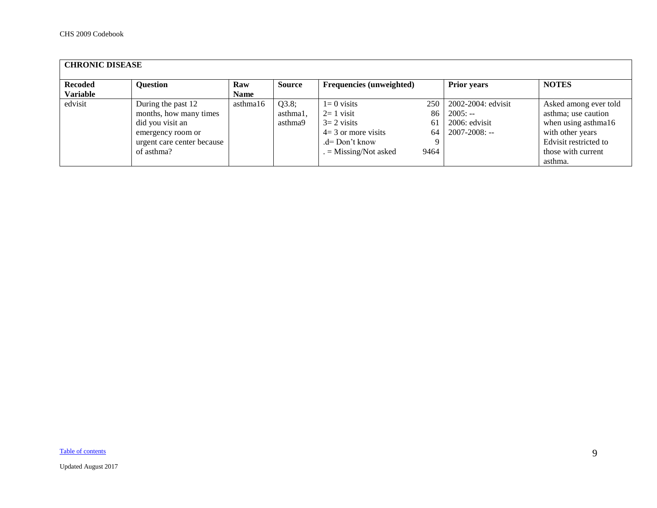| <b>CHRONIC DISEASE</b>            |                                                                                                                                   |                    |                              |                                                                                                                     |                                      |                                                                           |                                                                                                                                                   |  |  |  |
|-----------------------------------|-----------------------------------------------------------------------------------------------------------------------------------|--------------------|------------------------------|---------------------------------------------------------------------------------------------------------------------|--------------------------------------|---------------------------------------------------------------------------|---------------------------------------------------------------------------------------------------------------------------------------------------|--|--|--|
| <b>Recoded</b><br><b>Variable</b> | <b>Question</b>                                                                                                                   | Raw<br><b>Name</b> | <b>Source</b>                | Frequencies (unweighted)                                                                                            |                                      | <b>Prior years</b>                                                        | <b>NOTES</b>                                                                                                                                      |  |  |  |
| edvisit                           | During the past 12<br>months, how many times<br>did you visit an<br>emergency room or<br>urgent care center because<br>of asthma? | asthma16           | Q3.8;<br>asthma1,<br>asthma9 | $l = 0$ visits<br>$2=1$ visit<br>$3=2$ visits<br>$4 = 3$ or more visits<br>$d=$ Don't know<br>$=$ Missing/Not asked | 250 l<br>86<br>61<br>64<br>9<br>9464 | 2002-2004: edvisit<br>$2005: -$<br>$2006$ : edvisit<br>$2007 - 2008$ : -- | Asked among ever told<br>asthma; use caution<br>when using asthma16<br>with other years<br>Edvisit restricted to<br>those with current<br>asthma. |  |  |  |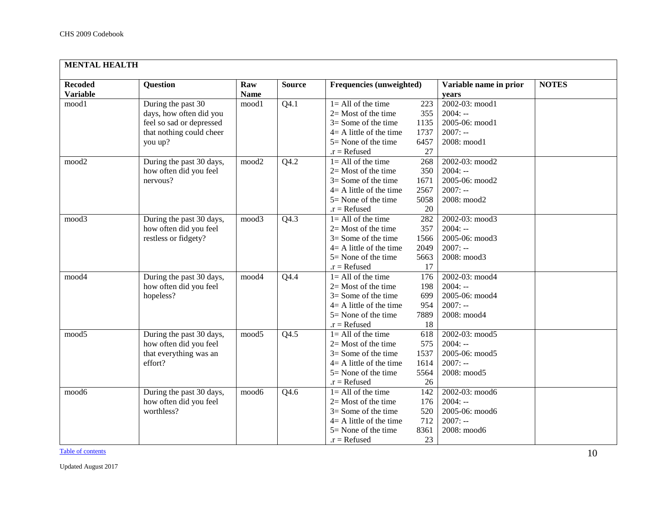<span id="page-9-0"></span>

|                                   | <b>MENTAL HEALTH</b>                                                                                             |                    |               |                                                                                                                                                    |                                          |                                                                                |              |  |  |  |  |
|-----------------------------------|------------------------------------------------------------------------------------------------------------------|--------------------|---------------|----------------------------------------------------------------------------------------------------------------------------------------------------|------------------------------------------|--------------------------------------------------------------------------------|--------------|--|--|--|--|
| <b>Recoded</b><br><b>Variable</b> | <b>Question</b>                                                                                                  | Raw<br><b>Name</b> | <b>Source</b> | <b>Frequencies (unweighted)</b>                                                                                                                    |                                          | Variable name in prior<br>years                                                | <b>NOTES</b> |  |  |  |  |
| mood1                             | During the past 30<br>days, how often did you<br>feel so sad or depressed<br>that nothing could cheer<br>you up? | mood1              | Q4.1          | $1 = All of the time$<br>$2=$ Most of the time<br>$3 =$ Some of the time<br>$4 = A$ little of the time<br>$5 =$ None of the time<br>$.r = Refused$ | 223<br>355<br>1135<br>1737<br>6457<br>27 | 2002-03: mood1<br>$2004: -$<br>2005-06: mood1<br>$2007: -$<br>2008: mood1      |              |  |  |  |  |
| mood2                             | During the past 30 days,<br>how often did you feel<br>nervous?                                                   | mood2              | Q4.2          | $1 = All of the time$<br>$2=$ Most of the time<br>$3 =$ Some of the time<br>$4 = A$ little of the time<br>$5 =$ None of the time<br>$.r = Refused$ | 268<br>350<br>1671<br>2567<br>5058<br>20 | 2002-03: mood2<br>$2004: -$<br>2005-06: mood2<br>$2007: -$<br>2008: mood2      |              |  |  |  |  |
| mood3                             | During the past 30 days,<br>how often did you feel<br>restless or fidgety?                                       | mood3              | Q4.3          | $1 = All$ of the time<br>$2=$ Most of the time<br>$3=$ Some of the time<br>$4 = A$ little of the time<br>$5 =$ None of the time<br>$.r = Refused$  | 282<br>357<br>1566<br>2049<br>5663<br>17 | 2002-03: mood3<br>$2004: -$<br>2005-06: mood3<br>$2007: -$<br>2008: mood3      |              |  |  |  |  |
| mood4                             | During the past 30 days,<br>how often did you feel<br>hopeless?                                                  | mood4              | Q4.4          | $l = All$ of the time<br>$2=$ Most of the time<br>$3 =$ Some of the time<br>$4 = A$ little of the time<br>$5 =$ None of the time<br>$.r = Refused$ | 176<br>198<br>699<br>954<br>7889<br>18   | 2002-03: mood4<br>$2004: -$<br>2005-06: mood4<br>$2007: -$<br>2008: mood4      |              |  |  |  |  |
| mood5                             | During the past 30 days,<br>how often did you feel<br>that everything was an<br>effort?                          | mood5              | Q4.5          | $1 = All of the time$<br>$2=$ Most of the time<br>$3 =$ Some of the time<br>$4 = A$ little of the time<br>5= None of the time<br>$.r = Refused$    | 618<br>575<br>1537<br>1614<br>5564<br>26 | $2002 - 03$ : mood5<br>$2004: -$<br>2005-06: mood5<br>$2007: -$<br>2008: mood5 |              |  |  |  |  |
| mood6                             | During the past 30 days,<br>how often did you feel<br>worthless?                                                 | mood6              | Q4.6          | $l = All$ of the time<br>$2=$ Most of the time<br>$3 =$ Some of the time<br>$4 = A$ little of the time<br>$5 =$ None of the time<br>$.r = Refused$ | 142<br>176<br>520<br>712<br>8361<br>23   | 2002-03: mood6<br>$2004: -$<br>2005-06: mood6<br>$2007: -$<br>2008: mood6      |              |  |  |  |  |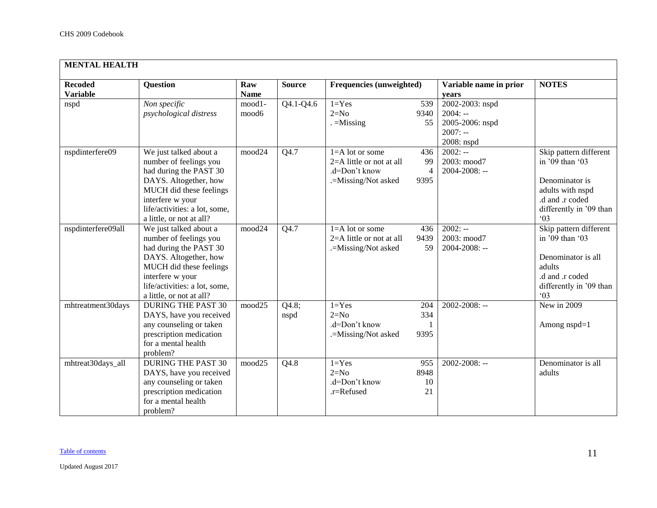| <b>MENTAL HEALTH</b> |                                                       |             |               |                          |                |                        |                                         |
|----------------------|-------------------------------------------------------|-------------|---------------|--------------------------|----------------|------------------------|-----------------------------------------|
| <b>Recoded</b>       | Question                                              | Raw         | <b>Source</b> | Frequencies (unweighted) |                | Variable name in prior | <b>NOTES</b>                            |
| <b>Variable</b>      |                                                       | <b>Name</b> |               |                          |                | vears                  |                                         |
| nspd                 | Non specific                                          | mood1-      | Q4.1-Q4.6     | $1 = Yes$                | 539            | 2002-2003: nspd        |                                         |
|                      | psychological distress                                | mood6       |               | $2=N0$                   | 9340           | $2004: -$              |                                         |
|                      |                                                       |             |               | $=$ Missing              | 55             | 2005-2006: nspd        |                                         |
|                      |                                                       |             |               |                          |                | $2007: -$              |                                         |
|                      |                                                       |             |               |                          |                | 2008: nspd             |                                         |
| nspdinterfere09      | We just talked about a                                | mood24      | Q4.7          | $1 = A$ lot or some      | 436            | $2002: -$              | Skip pattern different                  |
|                      | number of feelings you                                |             |               | 2=A little or not at all | 99             | 2003: mood7            | in '09 than '03                         |
|                      | had during the PAST 30                                |             |               | .d=Don't know            | $\overline{4}$ | $2004 - 2008$ : --     |                                         |
|                      | DAYS. Altogether, how                                 |             |               | .=Missing/Not asked      | 9395           |                        | Denominator is                          |
|                      | MUCH did these feelings                               |             |               |                          |                |                        | adults with nspd                        |
|                      | interfere w your                                      |             |               |                          |                |                        | .d and .r coded                         |
|                      | life/activities: a lot, some,                         |             |               |                          |                |                        | differently in '09 than                 |
|                      | a little, or not at all?                              |             |               |                          |                |                        | $^{\circ}03$                            |
| nspdinterfere09all   | We just talked about a                                | mood24      | Q4.7          | $1 = A$ lot or some      | 436            | $2002: -$              | Skip pattern different                  |
|                      | number of feelings you                                |             |               | 2=A little or not at all | 9439           | 2003: mood7            | in '09 than '03                         |
|                      | had during the PAST 30                                |             |               | .=Missing/Not asked      | 59             | $2004 - 2008$ : --     |                                         |
|                      | DAYS. Altogether, how                                 |             |               |                          |                |                        | Denominator is all                      |
|                      | MUCH did these feelings                               |             |               |                          |                |                        | adults                                  |
|                      | interfere w your                                      |             |               |                          |                |                        | .d and .r coded                         |
|                      | life/activities: a lot, some,                         |             |               |                          |                |                        | differently in '09 than<br>$^{\circ}03$ |
|                      | a little, or not at all?<br><b>DURING THE PAST 30</b> | mood25      |               | $1 = Yes$                |                | $2002 - 2008$ : --     | New in 2009                             |
| mhtreatment30days    |                                                       |             | Q4.8;         | $2=N0$                   | 204<br>334     |                        |                                         |
|                      | DAYS, have you received<br>any counseling or taken    |             | nspd          | .d=Don't know            |                |                        |                                         |
|                      | prescription medication                               |             |               | .=Missing/Not asked      | 9395           |                        | Among nspd=1                            |
|                      | for a mental health                                   |             |               |                          |                |                        |                                         |
|                      | problem?                                              |             |               |                          |                |                        |                                         |
| mhtreat30days_all    | <b>DURING THE PAST 30</b>                             | mood25      | Q4.8          | $1 = Yes$                | 955            | $2002 - 2008$ : --     | Denominator is all                      |
|                      | DAYS, have you received                               |             |               | $2=N0$                   | 8948           |                        | adults                                  |
|                      | any counseling or taken                               |             |               | .d=Don't know            | 10             |                        |                                         |
|                      | prescription medication                               |             |               | .r=Refused               | 21             |                        |                                         |
|                      | for a mental health                                   |             |               |                          |                |                        |                                         |
|                      | problem?                                              |             |               |                          |                |                        |                                         |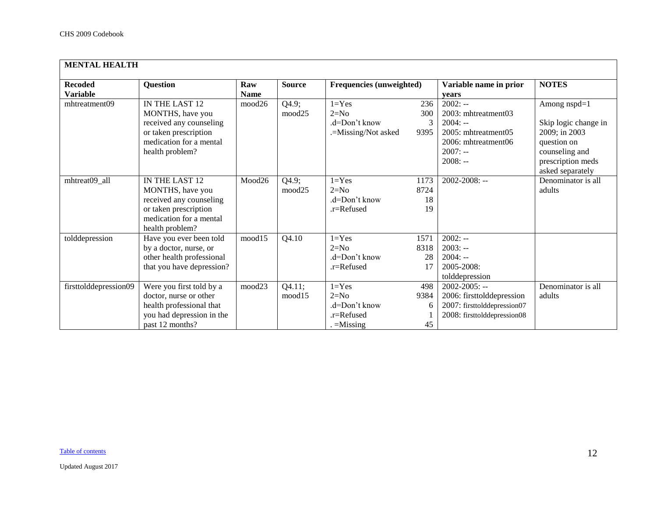| <b>MENTAL HEALTH</b>              |                                                                                                                                             |                    |                  |                                                                        |                          |                                                                                                                       |                                                                                                                                   |  |  |
|-----------------------------------|---------------------------------------------------------------------------------------------------------------------------------------------|--------------------|------------------|------------------------------------------------------------------------|--------------------------|-----------------------------------------------------------------------------------------------------------------------|-----------------------------------------------------------------------------------------------------------------------------------|--|--|
| <b>Recoded</b><br><b>Variable</b> | <b>Question</b>                                                                                                                             | Raw<br><b>Name</b> | <b>Source</b>    | <b>Frequencies (unweighted)</b>                                        |                          | Variable name in prior<br>vears                                                                                       | <b>NOTES</b>                                                                                                                      |  |  |
| mhtreatment09                     | IN THE LAST 12<br>MONTHS, have you<br>received any counseling<br>or taken prescription<br>medication for a mental<br>health problem?        | mood26             | Q4.9;<br>mood25  | $1 = Yes$<br>$2=N0$<br>$d=Don't know$<br>.=Missing/Not asked           | 236<br>300<br>9395       | $2002: -$<br>2003: mhtreatment03<br>$2004: -$<br>2005: mhtreatment05<br>2006: mhtreatment06<br>$2007: -$<br>$2008: -$ | Among $nspd=1$<br>Skip logic change in<br>2009; in 2003<br>question on<br>counseling and<br>prescription meds<br>asked separately |  |  |
| mhtreat09_all                     | <b>IN THE LAST 12</b><br>MONTHS, have you<br>received any counseling<br>or taken prescription<br>medication for a mental<br>health problem? | Mood26             | Q4.9;<br>mood25  | $1 = Yes$<br>$2=N0$<br>.d=Don't know<br>.r=Refused                     | 1173<br>8724<br>18<br>19 | $2002 - 2008$ : --                                                                                                    | Denominator is all<br>adults                                                                                                      |  |  |
| tolddepression                    | Have you ever been told<br>by a doctor, nurse, or<br>other health professional<br>that you have depression?                                 | mood15             | Q4.10            | $1 = Yes$<br>$2=N0$<br>$d=Don't know$<br>.r=Refused                    | 1571<br>8318<br>28<br>17 | $2002: -$<br>$2003: -$<br>$2004: -$<br>2005-2008:<br>tolddepression                                                   |                                                                                                                                   |  |  |
| firsttolddepression09             | Were you first told by a<br>doctor, nurse or other<br>health professional that<br>you had depression in the<br>past 12 months?              | mood23             | Q4.11;<br>mood15 | $1 = Yes$<br>$2=N0$<br>$d=Don't know$<br>$.r =$ Refused<br>$=$ Missing | 498<br>9384<br>6<br>45   | $2002 - 2005$ : --<br>2006: firsttolddepression<br>2007: firsttolddepression07<br>2008: firsttolddepression08         | Denominator is all<br>adults                                                                                                      |  |  |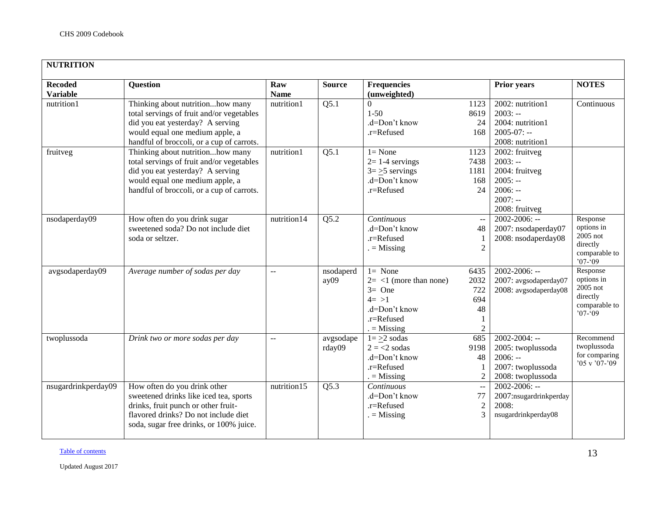<span id="page-12-0"></span>

| <b>NUTRITION</b>                  |                                                                                                                                                                                                   |                         |                     |                                                                                                              |                                                         |                                                                                                           |                                                                                |
|-----------------------------------|---------------------------------------------------------------------------------------------------------------------------------------------------------------------------------------------------|-------------------------|---------------------|--------------------------------------------------------------------------------------------------------------|---------------------------------------------------------|-----------------------------------------------------------------------------------------------------------|--------------------------------------------------------------------------------|
| <b>Recoded</b><br><b>Variable</b> | <b>Question</b>                                                                                                                                                                                   | Raw<br><b>Name</b>      | <b>Source</b>       | <b>Frequencies</b><br>(unweighted)                                                                           |                                                         | <b>Prior years</b>                                                                                        | <b>NOTES</b>                                                                   |
| nutrition1                        | Thinking about nutritionhow many<br>total servings of fruit and/or vegetables<br>did you eat yesterday? A serving<br>would equal one medium apple, a<br>handful of broccoli, or a cup of carrots. | nutrition1              | Q5.1                | $\Omega$<br>$1 - 50$<br>.d=Don't know<br>.r=Refused                                                          | 1123<br>8619<br>24<br>168                               | 2002: nutrition1<br>$2003: -$<br>2004: nutrition1<br>$2005 - 07$ : --<br>2008: nutrition1                 | Continuous                                                                     |
| fruitveg                          | Thinking about nutritionhow many<br>total servings of fruit and/or vegetables<br>did you eat yesterday? A serving<br>would equal one medium apple, a<br>handful of broccoli, or a cup of carrots. | nutrition1              | Q5.1                | $1 = None$<br>$2=1-4$ servings<br>$3 = \ge 5$ servings<br>.d=Don't know<br>.r=Refused                        | 1123<br>7438<br>1181<br>168<br>24                       | $2002$ : fruitveg<br>$2003: -$<br>2004: fruitveg<br>$2005: -$<br>$2006: -$<br>$2007: -$<br>2008: fruitveg |                                                                                |
| nsodaperday09                     | How often do you drink sugar<br>sweetened soda? Do not include diet<br>soda or seltzer.                                                                                                           | nutrition14             | Q5.2                | Continuous<br>.d=Don't know<br>.r=Refused<br>$=$ Missing                                                     | $\overline{a}$<br>48<br>-1<br>$\overline{2}$            | $2002 - 2006$ : --<br>2007: nsodaperday07<br>2008: nsodaperday08                                          | Response<br>options in<br>2005 not<br>directly<br>comparable to<br>$07 - 09$   |
| avgsodaperday09                   | Average number of sodas per day                                                                                                                                                                   | $\overline{a}$          | nsodaperd<br>ay09   | $1 = None$<br>$2 = 1$ (more than none)<br>$3=$ One<br>$4 = >1$<br>.d=Don't know<br>.r=Refused<br>$=$ Missing | 6435<br>2032<br>722<br>694<br>48<br>1<br>$\mathfrak{2}$ | 2002-2006: --<br>2007: avgsodaperday07<br>2008: avgsodaperday08                                           | Response<br>options in<br>$2005$ not<br>directly<br>comparable to<br>$07 - 09$ |
| twoplussoda                       | Drink two or more sodas per day                                                                                                                                                                   | $\mathbb{L} \mathbb{L}$ | avgsodape<br>rday09 | $1 = \geq 2$ sodas<br>$2 = 2$ sodas<br>.d=Don't know<br>.r=Refused<br>$=$ Missing                            | 685<br>9198<br>48<br>-1<br>$\overline{2}$               | $2002 - 2004$ : --<br>2005: twoplussoda<br>$2006: -$<br>2007: twoplussoda<br>2008: twoplussoda            | Recommend<br>twoplussoda<br>for comparing<br>'05 v '07-'09                     |
| nsugardrinkperday09               | How often do you drink other<br>sweetened drinks like iced tea, sports<br>drinks, fruit punch or other fruit-<br>flavored drinks? Do not include diet<br>soda, sugar free drinks, or 100% juice.  | nutrition15             | Q5.3                | Continuous<br>.d=Don't know<br>.r=Refused<br>$=$ Missing                                                     | $\sim$ $\sim$<br>77<br>$\overline{c}$<br>3              | $2002 - 2006$ : --<br>2007:nsugardrinkperday<br>2008:<br>nsugardrinkperday08                              |                                                                                |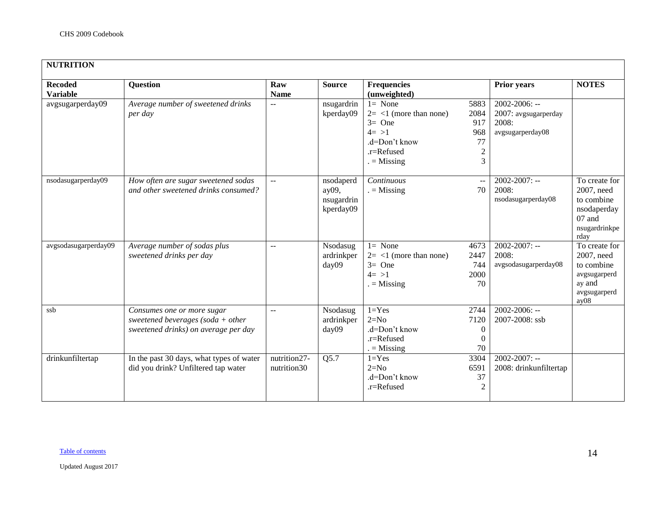| <b>NUTRITION</b>                  |                                                                                                         |                             |                                               |                                                                                                              |                                                          |                                                                         |                                                                                             |
|-----------------------------------|---------------------------------------------------------------------------------------------------------|-----------------------------|-----------------------------------------------|--------------------------------------------------------------------------------------------------------------|----------------------------------------------------------|-------------------------------------------------------------------------|---------------------------------------------------------------------------------------------|
| <b>Recoded</b><br><b>Variable</b> | Question                                                                                                | Raw<br><b>Name</b>          | <b>Source</b>                                 | <b>Frequencies</b><br>(unweighted)                                                                           |                                                          | <b>Prior years</b>                                                      | <b>NOTES</b>                                                                                |
| avgsugarperday09                  | Average number of sweetened drinks<br>per day                                                           | $\overline{a}$              | nsugardrin<br>kperday09                       | $1 = None$<br>$2 = 1$ (more than none)<br>$3=$ One<br>$4 = >1$<br>.d=Don't know<br>.r=Refused<br>$=$ Missing | 5883<br>2084<br>917<br>968<br>77<br>$\overline{c}$<br>3  | $2002 - 2006$ : --<br>2007: avgsugarperday<br>2008:<br>avgsugarperday08 |                                                                                             |
| nsodasugarperday09                | How often are sugar sweetened sodas<br>and other sweetened drinks consumed?                             |                             | nsodaperd<br>ay09,<br>nsugardrin<br>kperday09 | Continuous<br>$=$ Missing                                                                                    | $\sim$ $\sim$<br>70                                      | $2002 - 2007$ : --<br>2008:<br>nsodasugarperday08                       | To create for<br>2007, need<br>to combine<br>nsodaperday<br>07 and<br>nsugardrinkpe<br>rday |
| avgsodasugarperday09              | Average number of sodas plus<br>sweetened drinks per day                                                | $\sim$ $\sim$               | Nsodasug<br>ardrinkper<br>day09               | $1 = None$<br>$2 = \langle 1 \rangle$ (more than none)<br>$3=$ One<br>$4 = >1$<br>$=$ Missing                | 4673<br>2447<br>744<br>2000<br>70                        | $2002 - 2007$ : --<br>2008:<br>avgsodasugarperday08                     | To create for<br>2007, need<br>to combine<br>avgsugarperd<br>ay and<br>avgsugarperd<br>ay08 |
| ssb                               | Consumes one or more sugar<br>sweetened beverages (soda + other<br>sweetened drinks) on average per day | $\omega\omega$              | Nsodasug<br>ardrinkper<br>day09               | $1 = Yes$<br>$2=N0$<br>.d=Don't know<br>.r=Refused<br>$=$ Missing                                            | 2744<br>7120<br>$\overline{0}$<br>$\boldsymbol{0}$<br>70 | $2002 - 2006$ : --<br>2007-2008: ssb                                    |                                                                                             |
| drinkunfiltertap                  | In the past 30 days, what types of water<br>did you drink? Unfiltered tap water                         | nutrition27-<br>nutrition30 | Q5.7                                          | $1 = Yes$<br>$2=N0$<br>.d=Don't know<br>.r=Refused                                                           | 3304<br>6591<br>37<br>$\overline{2}$                     | $2002 - 2007$ : --<br>2008: drinkunfiltertap                            |                                                                                             |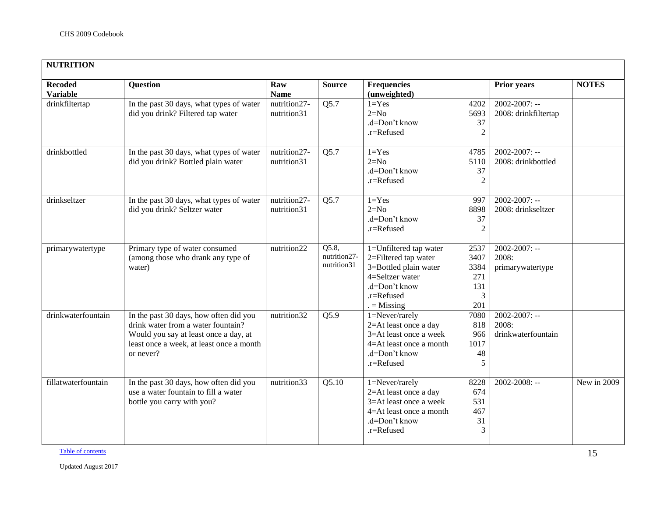| <b>NUTRITION</b>                  |                                                                                                                                                                                |                             |                                      |                                                                                                                                          |                                                |                                                   |              |  |  |  |
|-----------------------------------|--------------------------------------------------------------------------------------------------------------------------------------------------------------------------------|-----------------------------|--------------------------------------|------------------------------------------------------------------------------------------------------------------------------------------|------------------------------------------------|---------------------------------------------------|--------------|--|--|--|
| <b>Recoded</b><br><b>Variable</b> | <b>Question</b>                                                                                                                                                                | Raw<br><b>Name</b>          | <b>Source</b>                        | <b>Frequencies</b><br>(unweighted)                                                                                                       |                                                | <b>Prior years</b>                                | <b>NOTES</b> |  |  |  |
| drinkfiltertap                    | In the past 30 days, what types of water<br>did you drink? Filtered tap water                                                                                                  | nutrition27-<br>nutrition31 | Q5.7                                 | $1 = Yes$<br>$2=N0$<br>.d=Don't know<br>.r=Refused                                                                                       | 4202<br>5693<br>37<br>$\overline{2}$           | $2002 - 2007$ : --<br>2008: drinkfiltertap        |              |  |  |  |
| drinkbottled                      | In the past 30 days, what types of water<br>did you drink? Bottled plain water                                                                                                 | nutrition27-<br>nutrition31 | Q5.7                                 | $1 = Yes$<br>$2=N0$<br>.d=Don't know<br>.r=Refused                                                                                       | 4785<br>5110<br>37<br>$\overline{2}$           | $2002 - 2007$ : --<br>2008: drinkbottled          |              |  |  |  |
| drinkseltzer                      | In the past 30 days, what types of water<br>did you drink? Seltzer water                                                                                                       | nutrition27-<br>nutrition31 | Q5.7                                 | $1 = Yes$<br>$2=N0$<br>.d=Don't know<br>.r=Refused                                                                                       | 997<br>8898<br>37<br>$\overline{2}$            | $2002 - 2007$ : --<br>2008: drinkseltzer          |              |  |  |  |
| primarywatertype                  | Primary type of water consumed<br>(among those who drank any type of<br>water)                                                                                                 | nutrition22                 | Q5.8,<br>nutrition27-<br>nutrition31 | 1=Unfiltered tap water<br>2=Filtered tap water<br>3=Bottled plain water<br>4=Seltzer water<br>.d=Don't know<br>.r=Refused<br>$=$ Missing | 2537<br>3407<br>3384<br>271<br>131<br>3<br>201 | $2002 - 2007$ : --<br>2008:<br>primarywatertype   |              |  |  |  |
| drinkwaterfountain                | In the past 30 days, how often did you<br>drink water from a water fountain?<br>Would you say at least once a day, at<br>least once a week, at least once a month<br>or never? | nutrition32                 | Q5.9                                 | 1=Never/rarely<br>2=At least once a day<br>3=At least once a week<br>4=At least once a month<br>.d=Don't know<br>.r=Refused              | 7080<br>818<br>966<br>1017<br>48<br>5          | $2002 - 2007$ : --<br>2008:<br>drinkwaterfountain |              |  |  |  |
| fillatwaterfountain               | In the past 30 days, how often did you<br>use a water fountain to fill a water<br>bottle you carry with you?                                                                   | nutrition33                 | Q5.10                                | 1=Never/rarely<br>2=At least once a day<br>3=At least once a week<br>4=At least once a month<br>.d=Don't know<br>.r=Refused              | 8228<br>674<br>531<br>467<br>31<br>3           | $2002 - 2008$ : --                                | New in 2009  |  |  |  |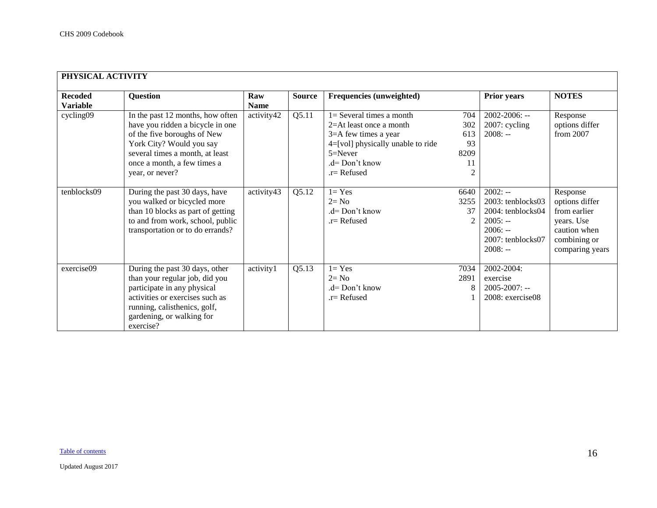<span id="page-15-0"></span>

| PHYSICAL ACTIVITY                 |                                                                                                                                                                                                                      |                    |               |                                                                                                                                                                            |                                       |                                                                                                                       |                                                                                                             |
|-----------------------------------|----------------------------------------------------------------------------------------------------------------------------------------------------------------------------------------------------------------------|--------------------|---------------|----------------------------------------------------------------------------------------------------------------------------------------------------------------------------|---------------------------------------|-----------------------------------------------------------------------------------------------------------------------|-------------------------------------------------------------------------------------------------------------|
| <b>Recoded</b><br><b>Variable</b> | <b>Question</b>                                                                                                                                                                                                      | Raw<br><b>Name</b> | <b>Source</b> | Frequencies (unweighted)                                                                                                                                                   |                                       | Prior years                                                                                                           | <b>NOTES</b>                                                                                                |
| cycling09                         | In the past 12 months, how often<br>have you ridden a bicycle in one<br>of the five boroughs of New<br>York City? Would you say<br>several times a month, at least<br>once a month, a few times a<br>year, or never? | activity42         | Q5.11         | $1 =$ Several times a month<br>$2=At$ least once a month<br>$3=$ A few times a year<br>$4 = [vol]$ physically unable to ride<br>$5=Never$<br>.d= Don't know<br>.r= Refused | 704<br>302<br>613<br>93<br>8209<br>11 | $2002 - 2006$ : --<br>$2007$ : cycling<br>$2008: -$                                                                   | Response<br>options differ<br>from $2007$                                                                   |
| tenblocks09                       | During the past 30 days, have<br>you walked or bicycled more<br>than 10 blocks as part of getting<br>to and from work, school, public<br>transportation or to do errands?                                            | activity43         | Q5.12         | $1 = Yes$<br>$2 = No$<br>$d = Don't know$<br>$r =$ Refused                                                                                                                 | 6640<br>3255<br>37<br>2               | $2002: -$<br>2003: tenblocks03<br>2004: tenblocks04<br>$2005: -$<br>$2006: -$<br>$2007$ : tenblocks $07$<br>$2008: -$ | Response<br>options differ<br>from earlier<br>years. Use<br>caution when<br>combining or<br>comparing years |
| exercise09                        | During the past 30 days, other<br>than your regular job, did you<br>participate in any physical<br>activities or exercises such as<br>running, calisthenics, golf,<br>gardening, or walking for<br>exercise?         | activity1          | Q5.13         | $1 = Yes$<br>$2=$ No<br>$d = Don't know$<br>$r =$ Refused                                                                                                                  | 7034<br>2891<br>8                     | 2002-2004:<br>exercise<br>$2005 - 2007$ : --<br>2008: exercise08                                                      |                                                                                                             |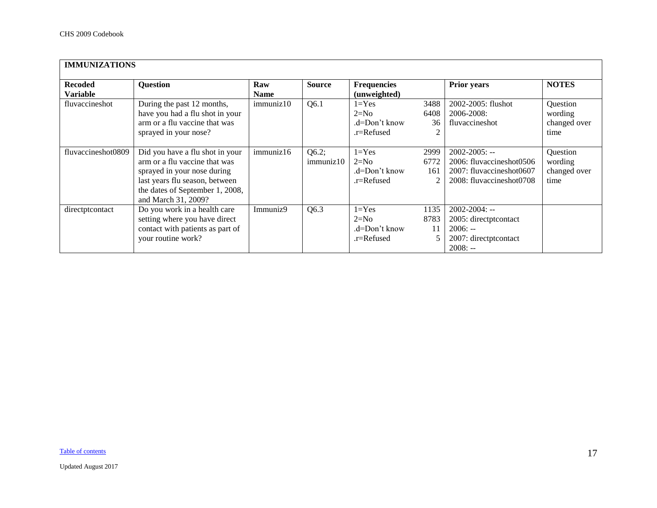<span id="page-16-0"></span>

| <b>IMMUNIZATIONS</b>              |                                                                                                                                                                                             |                    |                    |                                                    |                                      |                                                                                                        |                                             |
|-----------------------------------|---------------------------------------------------------------------------------------------------------------------------------------------------------------------------------------------|--------------------|--------------------|----------------------------------------------------|--------------------------------------|--------------------------------------------------------------------------------------------------------|---------------------------------------------|
| <b>Recoded</b><br><b>Variable</b> | <b>Question</b>                                                                                                                                                                             | Raw<br><b>Name</b> | <b>Source</b>      | <b>Frequencies</b><br>(unweighted)                 |                                      | <b>Prior years</b>                                                                                     | <b>NOTES</b>                                |
| fluvaccineshot                    | During the past 12 months,<br>have you had a flu shot in your<br>arm or a flu vaccine that was<br>sprayed in your nose?                                                                     | immuniz10          | Q6.1               | $1 = Yes$<br>$2=N0$<br>.d=Don't know<br>.r=Refused | 3488<br>6408<br>36<br>$\overline{2}$ | 2002-2005: flushot<br>2006-2008:<br>fluvaccineshot                                                     | Question<br>wording<br>changed over<br>time |
| fluvaccineshot0809                | Did you have a flu shot in your<br>arm or a flu vaccine that was<br>sprayed in your nose during<br>last years flu season, between<br>the dates of September 1, 2008,<br>and March 31, 2009? | immuniz16          | Q6.2;<br>immuniz10 | $1 = Yes$<br>$2=N0$<br>.d=Don't know<br>.r=Refused | 2999<br>6772<br>161<br>2             | $2002 - 2005$ : --<br>2006: fluvaccineshot0506<br>2007: fluvaccineshot0607<br>2008: fluvaccineshot0708 | Question<br>wording<br>changed over<br>time |
| directptcontact                   | Do you work in a health care<br>setting where you have direct<br>contact with patients as part of<br>your routine work?                                                                     | Immuniz9           | Q6.3               | $1 = Yes$<br>$2=N0$<br>.d=Don't know<br>.r=Refused | 1135<br>8783<br>11<br>5              | $2002 - 2004$ : --<br>2005: directptcontact<br>$2006: -$<br>2007: directptcontact<br>$2008: -$         |                                             |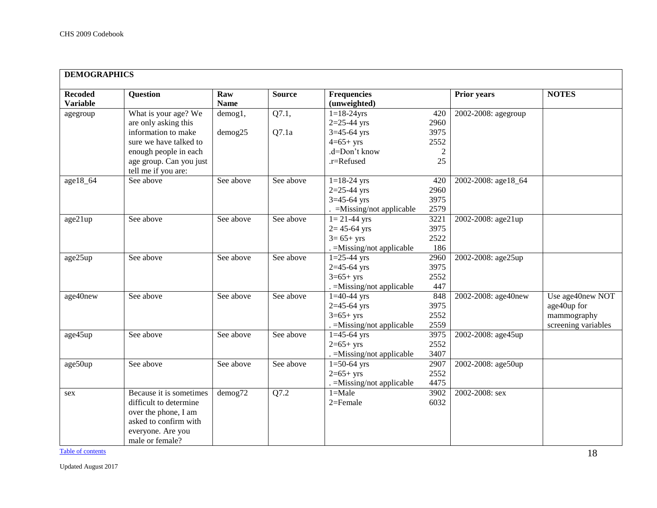<span id="page-17-0"></span>

| <b>DEMOGRAPHICS</b>               |                                                                                                                                            |                      |               |                                                                            |                                |                     |                                                                       |
|-----------------------------------|--------------------------------------------------------------------------------------------------------------------------------------------|----------------------|---------------|----------------------------------------------------------------------------|--------------------------------|---------------------|-----------------------------------------------------------------------|
| <b>Recoded</b><br><b>Variable</b> | Question                                                                                                                                   | Raw<br><b>Name</b>   | <b>Source</b> | <b>Frequencies</b><br>(unweighted)                                         |                                | <b>Prior years</b>  | <b>NOTES</b>                                                          |
| agegroup                          | What is your age? We<br>are only asking this                                                                                               | demog1,              | Q7.1,         | $1 = 18 - 24$ yrs<br>$2=25-44$ yrs                                         | 420<br>2960                    | 2002-2008: agegroup |                                                                       |
|                                   | information to make<br>sure we have talked to<br>enough people in each                                                                     | $d$ emog $25$        | Q7.1a         | $3=45-64$ yrs<br>$4=65+yrs$<br>.d=Don't know                               | 3975<br>2552<br>$\overline{2}$ |                     |                                                                       |
|                                   | age group. Can you just<br>tell me if you are:                                                                                             |                      |               | .r=Refused                                                                 | 25                             |                     |                                                                       |
| age18_64                          | See above                                                                                                                                  | See above            | See above     | $1 = 18 - 24$ yrs<br>$2=25-44$ yrs                                         | 420<br>2960                    | 2002-2008: age18_64 |                                                                       |
|                                   |                                                                                                                                            |                      |               | $3=45-64$ yrs<br>. = Missing/not applicable                                | 3975<br>2579                   |                     |                                                                       |
| age21up                           | See above                                                                                                                                  | See above            | See above     | $1 = 21 - 44$ yrs<br>$2 = 45 - 64$ yrs<br>$3 = 65 + yrs$                   | 3221<br>3975<br>2522           | 2002-2008: age21up  |                                                                       |
|                                   |                                                                                                                                            |                      |               | $=$ Missing/not applicable                                                 | 186                            |                     |                                                                       |
| age25up                           | See above                                                                                                                                  | See above            | See above     | $1=25-44$ yrs<br>$2=45-64$ yrs                                             | 2960<br>3975                   | 2002-2008: age25up  |                                                                       |
|                                   |                                                                                                                                            |                      |               | $3=65+yrs$<br>$=$ Missing/not applicable                                   | 2552<br>447                    |                     |                                                                       |
| age40new                          | See above                                                                                                                                  | See above            | See above     | $1=40-44$ yrs<br>$2=45-64$ yrs<br>$3=65+yrs$<br>. = Missing/not applicable | 848<br>3975<br>2552<br>2559    | 2002-2008: age40new | Use age40new NOT<br>age40up for<br>mammography<br>screening variables |
| age45up                           | See above                                                                                                                                  | See above            | See above     | $1=45-64$ yrs<br>$2=65+yrs$<br>. = Missing/not applicable                  | 3975<br>2552<br>3407           | 2002-2008: age45up  |                                                                       |
| age50up                           | See above                                                                                                                                  | See above            | See above     | $1=50-64$ yrs<br>$2=65+yrs$<br>. = Missing/not applicable                  | 2907<br>2552<br>4475           | 2002-2008: age50up  |                                                                       |
| sex                               | Because it is sometimes<br>difficult to determine<br>over the phone, I am<br>asked to confirm with<br>everyone. Are you<br>male or female? | $d$ emog $\sqrt{72}$ | Q7.2          | $1 = Male$<br>$2 =$ Female                                                 | 3902<br>6032                   | 2002-2008: sex      |                                                                       |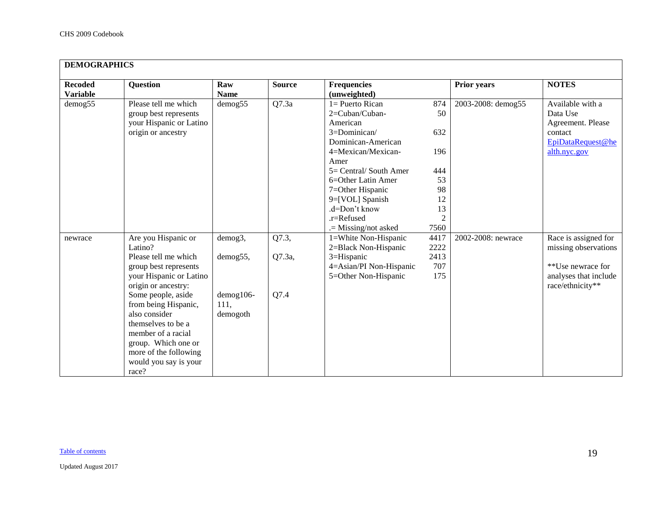| <b>DEMOGRAPHICS</b>               |                                                                                                                                                                                 |                                            |                         |                                                                                                                                                                                                                                                                     |                                                                                  |                    |                                                                                                                |
|-----------------------------------|---------------------------------------------------------------------------------------------------------------------------------------------------------------------------------|--------------------------------------------|-------------------------|---------------------------------------------------------------------------------------------------------------------------------------------------------------------------------------------------------------------------------------------------------------------|----------------------------------------------------------------------------------|--------------------|----------------------------------------------------------------------------------------------------------------|
| <b>Recoded</b><br><b>Variable</b> | <b>Question</b>                                                                                                                                                                 | Raw<br><b>Name</b>                         | <b>Source</b>           | <b>Frequencies</b><br>(unweighted)                                                                                                                                                                                                                                  |                                                                                  | <b>Prior years</b> | <b>NOTES</b>                                                                                                   |
| demog55                           | Please tell me which<br>group best represents<br>your Hispanic or Latino<br>origin or ancestry                                                                                  | demog55                                    | Q7.3a                   | $1 =$ Puerto Rican<br>2=Cuban/Cuban-<br>American<br>3=Dominican/<br>Dominican-American<br>4=Mexican/Mexican-<br>Amer<br>5= Central/ South Amer<br>6=Other Latin Amer<br>7=Other Hispanic<br>9=[VOL] Spanish<br>.d=Don't know<br>.r=Refused<br>$=$ Missing/not asked | 874<br>50<br>632<br>196<br>444<br>53<br>98<br>12<br>13<br>$\overline{2}$<br>7560 | 2003-2008: demog55 | Available with a<br>Data Use<br>Agreement. Please<br>contact<br>EpiDataRequest@he<br>alth.nyc.gov              |
| newrace                           | Are you Hispanic or<br>Latino?<br>Please tell me which<br>group best represents<br>your Hispanic or Latino<br>origin or ancestry:<br>Some people, aside<br>from being Hispanic, | demog3,<br>demog55,<br>$demog106-$<br>111, | Q7.3,<br>Q7.3a,<br>Q7.4 | 1=White Non-Hispanic<br>2=Black Non-Hispanic<br>3=Hispanic<br>4=Asian/PI Non-Hispanic<br>5=Other Non-Hispanic                                                                                                                                                       | 4417<br>2222<br>2413<br>707<br>175                                               | 2002-2008: newrace | Race is assigned for<br>missing observations<br>**Use newrace for<br>analyses that include<br>race/ethnicity** |
|                                   | also consider<br>themselves to be a<br>member of a racial<br>group. Which one or<br>more of the following<br>would you say is your<br>race?                                     | demogoth                                   |                         |                                                                                                                                                                                                                                                                     |                                                                                  |                    |                                                                                                                |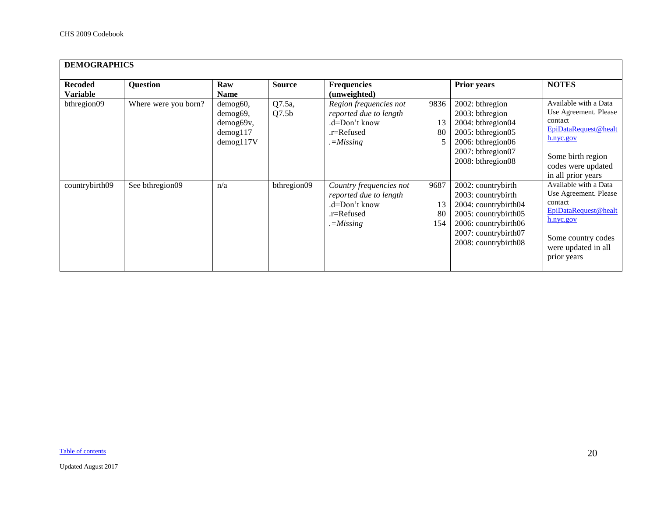| <b>DEMOGRAPHICS</b>               |                      |                                                                        |                             |                                                                                                                |                                                                                                                                                                                     |                                                                                                                                                                 |
|-----------------------------------|----------------------|------------------------------------------------------------------------|-----------------------------|----------------------------------------------------------------------------------------------------------------|-------------------------------------------------------------------------------------------------------------------------------------------------------------------------------------|-----------------------------------------------------------------------------------------------------------------------------------------------------------------|
| <b>Recoded</b><br><b>Variable</b> | <b>Question</b>      | Raw<br><b>Name</b>                                                     | <b>Source</b>               | <b>Frequencies</b><br>(unweighted)                                                                             | <b>Prior years</b>                                                                                                                                                                  | <b>NOTES</b>                                                                                                                                                    |
| bthregion09                       | Where were you born? | demog60,<br>demog69,<br>demog69v,<br>$d$ emog $117$<br>$d$ emog $117V$ | Q7.5a,<br>Q7.5 <sub>b</sub> | 9836<br>Region frequencies not<br>reported due to length<br>.d=Don't know<br>.r=Refused<br>$=$ <i>Missing</i>  | 2002: bthregion<br>2003: bthregion<br>2004: bthregion04<br>13<br>2005: bthregion05<br>80<br>2006: bthregion06<br>2007: bthregion07<br>2008: bthregion08                             | Available with a Data<br>Use Agreement. Please<br>contact<br>EpiDataRequest@healt<br>h.nyc.gov<br>Some birth region<br>codes were updated<br>in all prior years |
| countrybirth09                    | See bthregion09      | n/a                                                                    | bthregion09                 | 9687<br>Country frequencies not<br>reported due to length<br>.d=Don't know<br>.r=Refused<br>$=$ <i>Missing</i> | 2002: countrybirth<br>2003: countrybirth<br>2004: countrybirth04<br>13<br>2005: countrybirth05<br>80<br>2006: countrybirth06<br>154<br>2007: countrybirth07<br>2008: countrybirth08 | Available with a Data<br>Use Agreement. Please<br>contact<br>EpiDataRequest@healt<br>h.nyc.gov<br>Some country codes<br>were updated in all<br>prior years      |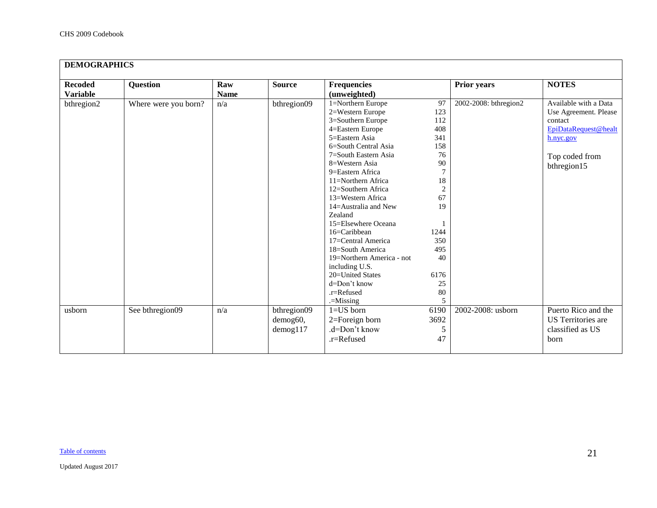| <b>DEMOGRAPHICS</b>               |                      |                    |                                           |                                                                                                                                                                                                                                                                                                                                                                                                                                                                                             |                                                                                                                                                                  |                       |                                                                                                                                 |
|-----------------------------------|----------------------|--------------------|-------------------------------------------|---------------------------------------------------------------------------------------------------------------------------------------------------------------------------------------------------------------------------------------------------------------------------------------------------------------------------------------------------------------------------------------------------------------------------------------------------------------------------------------------|------------------------------------------------------------------------------------------------------------------------------------------------------------------|-----------------------|---------------------------------------------------------------------------------------------------------------------------------|
| <b>Recoded</b><br><b>Variable</b> | Question             | Raw<br><b>Name</b> | <b>Source</b>                             | Frequencies<br>(unweighted)                                                                                                                                                                                                                                                                                                                                                                                                                                                                 |                                                                                                                                                                  | <b>Prior years</b>    | <b>NOTES</b>                                                                                                                    |
| bthregion2                        | Where were you born? | n/a                | bthregion09                               | 1=Northern Europe<br>2=Western Europe<br>3=Southern Europe<br>4=Eastern Europe<br>5=Eastern Asia<br>6=South Central Asia<br>7=South Eastern Asia<br>8=Western Asia<br>9=Eastern Africa<br>11=Northern Africa<br>12=Southern Africa<br>13=Western Africa<br>14=Australia and New<br>Zealand<br>15=Elsewhere Oceana<br>16=Caribbean<br>17=Central America<br>18=South America<br>19=Northern America - not<br>including U.S.<br>20=United States<br>d=Don't know<br>.r=Refused<br>$=$ Missing | 97<br>123<br>112<br>408<br>341<br>158<br>76<br>$90\,$<br>$\overline{7}$<br>18<br>$\overline{2}$<br>67<br>19<br>1244<br>350<br>495<br>40<br>6176<br>25<br>80<br>5 | 2002-2008: bthregion2 | Available with a Data<br>Use Agreement. Please<br>contact<br>EpiDataRequest@healt<br>h.nyc.gov<br>Top coded from<br>bthregion15 |
| usborn                            | See bthregion09      | n/a                | bthregion09<br>demog60,<br>$d$ emog $117$ | $1 = US$ born<br>2=Foreign born<br>.d=Don't know<br>.r=Refused                                                                                                                                                                                                                                                                                                                                                                                                                              | 6190<br>3692<br>5<br>47                                                                                                                                          | 2002-2008: usborn     | Puerto Rico and the<br>US Territories are<br>classified as US<br>born                                                           |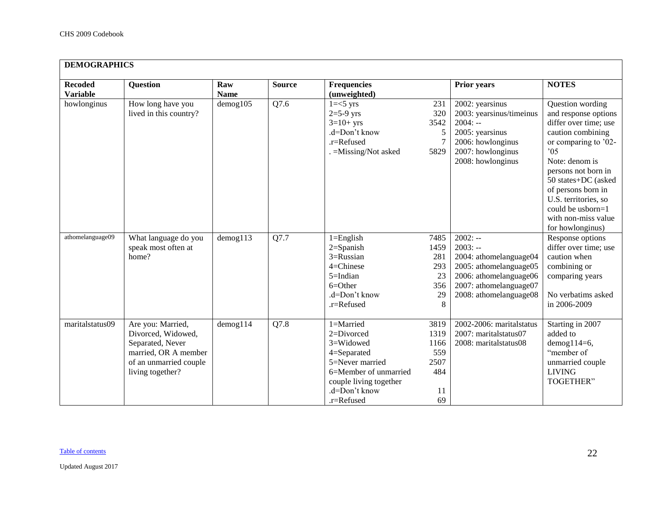| <b>DEMOGRAPHICS</b>               |                                                                                                                                   |                    |               |                                                                                                                                                          |                                                        |                                                                                                                                                          |                                                                                                                                                                                                                                                                                                    |  |  |
|-----------------------------------|-----------------------------------------------------------------------------------------------------------------------------------|--------------------|---------------|----------------------------------------------------------------------------------------------------------------------------------------------------------|--------------------------------------------------------|----------------------------------------------------------------------------------------------------------------------------------------------------------|----------------------------------------------------------------------------------------------------------------------------------------------------------------------------------------------------------------------------------------------------------------------------------------------------|--|--|
| <b>Recoded</b><br><b>Variable</b> | <b>Question</b>                                                                                                                   | Raw<br><b>Name</b> | <b>Source</b> | <b>Frequencies</b><br>(unweighted)                                                                                                                       |                                                        | <b>Prior years</b>                                                                                                                                       | <b>NOTES</b>                                                                                                                                                                                                                                                                                       |  |  |
| howlonginus                       | How long have you<br>lived in this country?                                                                                       | $d$ emog $105$     | Q7.6          | $1 = <5$ yrs<br>$2=5-9$ yrs<br>$3=10+$ yrs<br>.d=Don't know<br>.r=Refused<br>. = Missing/Not asked                                                       | 231<br>320<br>3542<br>5<br>5829                        | 2002: yearsinus<br>2003: yearsinus/timeinus<br>$2004: -$<br>2005: yearsinus<br>2006: howlonginus<br>2007: howlonginus<br>2008: howlonginus               | Question wording<br>and response options<br>differ over time; use<br>caution combining<br>or comparing to '02-<br>05<br>Note: denom is<br>persons not born in<br>50 states+DC (asked<br>of persons born in<br>U.S. territories, so<br>could be usborn=1<br>with non-miss value<br>for howlonginus) |  |  |
| athomelanguage09                  | What language do you<br>speak most often at<br>home?                                                                              | $d$ emog113        | Q7.7          | $1 =$ English<br>$2 =$ Spanish<br>3=Russian<br>4=Chinese<br>5=Indian<br>$6 = Other$<br>.d=Don't know<br>.r=Refused                                       | 7485<br>1459<br>281<br>293<br>23<br>356<br>29<br>8     | $2002: -$<br>$2003: -$<br>2004: athomelanguage04<br>2005: athomelanguage05<br>2006: athomelanguage06<br>2007: athomelanguage07<br>2008: athomelanguage08 | Response options<br>differ over time; use<br>caution when<br>combining or<br>comparing years<br>No verbatims asked<br>in 2006-2009                                                                                                                                                                 |  |  |
| maritalstatus09                   | Are you: Married,<br>Divorced, Widowed,<br>Separated, Never<br>married, OR A member<br>of an unmarried couple<br>living together? | $d$ emog $114$     | Q7.8          | 1=Married<br>2=Divorced<br>3=Widowed<br>4=Separated<br>5=Never married<br>6=Member of unmarried<br>couple living together<br>.d=Don't know<br>.r=Refused | 3819<br>1319<br>1166<br>559<br>2507<br>484<br>11<br>69 | 2002-2006: maritalstatus<br>2007: maritalstatus07<br>2008: maritalstatus08                                                                               | Starting in 2007<br>added to<br>demog $114=6$ ,<br>"member of<br>unmarried couple<br><b>LIVING</b><br>TOGETHER"                                                                                                                                                                                    |  |  |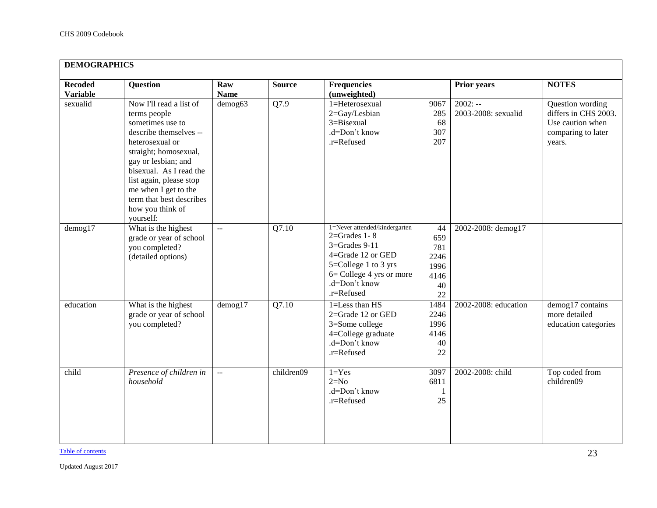| <b>DEMOGRAPHICS</b>               |                                                                                                                                                                                                                                                                                                     |                           |               |                                                                                                                                                                                  |                                                      |                                  |                                                                                              |
|-----------------------------------|-----------------------------------------------------------------------------------------------------------------------------------------------------------------------------------------------------------------------------------------------------------------------------------------------------|---------------------------|---------------|----------------------------------------------------------------------------------------------------------------------------------------------------------------------------------|------------------------------------------------------|----------------------------------|----------------------------------------------------------------------------------------------|
| <b>Recoded</b><br><b>Variable</b> | Question                                                                                                                                                                                                                                                                                            | Raw<br><b>Name</b>        | <b>Source</b> | <b>Frequencies</b><br>(unweighted)                                                                                                                                               |                                                      | <b>Prior years</b>               | <b>NOTES</b>                                                                                 |
| sexualid                          | Now I'll read a list of<br>terms people<br>sometimes use to<br>describe themselves --<br>heterosexual or<br>straight; homosexual,<br>gay or lesbian; and<br>bisexual. As I read the<br>list again, please stop<br>me when I get to the<br>term that best describes<br>how you think of<br>yourself: | demog63                   | Q7.9          | 1=Heterosexual<br>2=Gay/Lesbian<br>3=Bisexual<br>.d=Don't know<br>.r=Refused                                                                                                     | 9067<br>285<br>68<br>307<br>207                      | $2002: -$<br>2003-2008: sexualid | Question wording<br>differs in CHS 2003.<br>Use caution when<br>comparing to later<br>years. |
| $d$ emog $17$                     | What is the highest<br>grade or year of school<br>you completed?<br>(detailed options)                                                                                                                                                                                                              | $\mathbb{Z}^{\mathbb{Z}}$ | Q7.10         | 1=Never attended/kindergarten<br>$2 =$ Grades 1 - 8<br>$3 =$ Grades 9-11<br>4=Grade 12 or GED<br>5=College 1 to 3 yrs<br>6= College 4 yrs or more<br>.d=Don't know<br>.r=Refused | 44<br>659<br>781<br>2246<br>1996<br>4146<br>40<br>22 | 2002-2008: demog17               |                                                                                              |
| education                         | What is the highest<br>grade or year of school<br>you completed?                                                                                                                                                                                                                                    | $d$ emog $17$             | Q7.10         | 1=Less than HS<br>2=Grade 12 or GED<br>3=Some college<br>4=College graduate<br>.d=Don't know<br>.r=Refused                                                                       | 1484<br>2246<br>1996<br>4146<br>40<br>22             | 2002-2008: education             | demog17 contains<br>more detailed<br>education categories                                    |
| child                             | Presence of children in<br>household                                                                                                                                                                                                                                                                | $\mathbb{L} \mathbb{L}$   | children09    | $1 = Yes$<br>$2=N0$<br>.d=Don't know<br>.r=Refused                                                                                                                               | 3097<br>6811<br>25                                   | 2002-2008: child                 | Top coded from<br>children09                                                                 |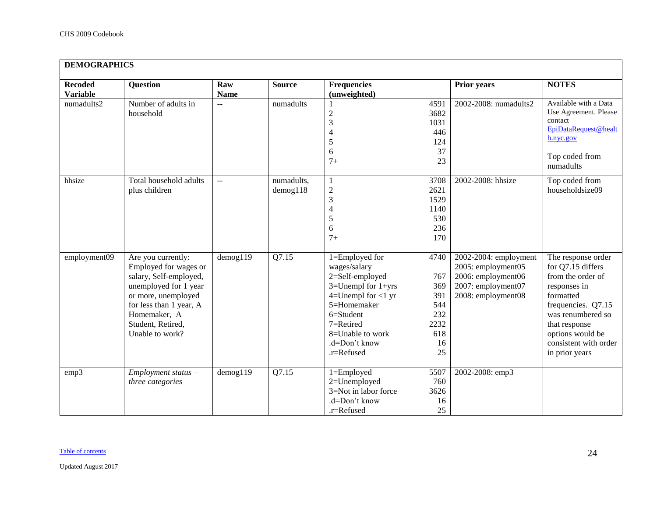| <b>DEMOGRAPHICS</b>               |                                                                                                                                                                                                          |                    |                              |                                                                                                                                                                                                       |                                                                    |                                                                                                               |                                                                                                                                                                                                                      |
|-----------------------------------|----------------------------------------------------------------------------------------------------------------------------------------------------------------------------------------------------------|--------------------|------------------------------|-------------------------------------------------------------------------------------------------------------------------------------------------------------------------------------------------------|--------------------------------------------------------------------|---------------------------------------------------------------------------------------------------------------|----------------------------------------------------------------------------------------------------------------------------------------------------------------------------------------------------------------------|
| <b>Recoded</b><br><b>Variable</b> | <b>Question</b>                                                                                                                                                                                          | Raw<br><b>Name</b> | <b>Source</b>                | <b>Frequencies</b><br>(unweighted)                                                                                                                                                                    |                                                                    | <b>Prior</b> years                                                                                            | <b>NOTES</b>                                                                                                                                                                                                         |
| numadults2                        | Number of adults in<br>household                                                                                                                                                                         | $\overline{a}$     | numadults                    | $\overline{c}$<br>$\overline{3}$<br>4<br>$\mathfrak s$<br>6<br>$7+$                                                                                                                                   | 4591<br>3682<br>1031<br>446<br>124<br>37<br>23                     | 2002-2008: numadults2                                                                                         | Available with a Data<br>Use Agreement. Please<br>contact<br>EpiDataRequest@healt<br>h.nyc.gov<br>Top coded from<br>numadults                                                                                        |
| hhsize                            | Total household adults<br>plus children                                                                                                                                                                  | $\overline{a}$     | numadults,<br>$d$ emog $118$ | $\mathbf{1}$<br>$\overline{c}$<br>3<br>4<br>5<br>6<br>$7+$                                                                                                                                            | 3708<br>2621<br>1529<br>1140<br>530<br>236<br>170                  | 2002-2008: hhsize                                                                                             | Top coded from<br>householdsize09                                                                                                                                                                                    |
| employment09                      | Are you currently:<br>Employed for wages or<br>salary, Self-employed,<br>unemployed for 1 year<br>or more, unemployed<br>for less than 1 year, A<br>Homemaker, A<br>Student, Retired,<br>Unable to work? | $d$ emog119        | Q7.15                        | 1=Employed for<br>wages/salary<br>2=Self-employed<br>$3=$ Unempl for $1+$ yrs<br>$4=$ Unempl for $<$ 1 yr<br>5=Homemaker<br>6=Student<br>7=Retired<br>8=Unable to work<br>.d=Don't know<br>.r=Refused | 4740<br>767<br>369<br>391<br>544<br>232<br>2232<br>618<br>16<br>25 | 2002-2004: employment<br>2005: employment05<br>2006: employment06<br>2007: employment07<br>2008: employment08 | The response order<br>for Q7.15 differs<br>from the order of<br>responses in<br>formatted<br>frequencies. Q7.15<br>was renumbered so<br>that response<br>options would be<br>consistent with order<br>in prior years |
| emp3                              | $Employment$ status $-$<br>three categories                                                                                                                                                              | $d$ emog $119$     | Q7.15                        | 1=Employed<br>2=Unemployed<br>3=Not in labor force<br>.d=Don't know<br>.r=Refused                                                                                                                     | 5507<br>760<br>3626<br>16<br>25                                    | 2002-2008: emp3                                                                                               |                                                                                                                                                                                                                      |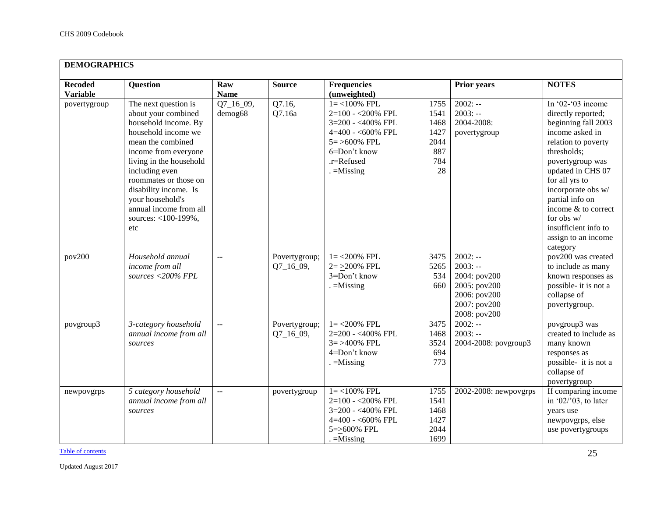|                                   | <b>DEMOGRAPHICS</b>                                                                                                                                                                                                                                                                                                |                      |                              |                                                                                                                                                      |                                                          |                                                                                                        |                                                                                                                                                                                                                                                                                                                             |  |  |  |  |
|-----------------------------------|--------------------------------------------------------------------------------------------------------------------------------------------------------------------------------------------------------------------------------------------------------------------------------------------------------------------|----------------------|------------------------------|------------------------------------------------------------------------------------------------------------------------------------------------------|----------------------------------------------------------|--------------------------------------------------------------------------------------------------------|-----------------------------------------------------------------------------------------------------------------------------------------------------------------------------------------------------------------------------------------------------------------------------------------------------------------------------|--|--|--|--|
| <b>Recoded</b><br><b>Variable</b> | <b>Question</b>                                                                                                                                                                                                                                                                                                    | Raw<br><b>Name</b>   | <b>Source</b>                | <b>Frequencies</b><br>(unweighted)                                                                                                                   |                                                          | <b>Prior years</b>                                                                                     | <b>NOTES</b>                                                                                                                                                                                                                                                                                                                |  |  |  |  |
| povertygroup                      | The next question is<br>about your combined<br>household income. By<br>household income we<br>mean the combined<br>income from everyone<br>living in the household<br>including even<br>roommates or those on<br>disability income. Is<br>your household's<br>annual income from all<br>sources: <100-199%,<br>etc | Q7_16_09,<br>demog68 | Q7.16,<br>Q7.16a             | $1 = < 100\%$ FPL<br>2=100 - < 200% FPL<br>3=200 - <400% FPL<br>$4=400 - 600\%$ FPL<br>$5 = >600\%$ FPL<br>6=Don't know<br>.r=Refused<br>$=$ Missing | 1755<br>1541<br>1468<br>1427<br>2044<br>887<br>784<br>28 | $2002: -$<br>$2003: -$<br>2004-2008:<br>povertygroup                                                   | In '02-'03 income<br>directly reported;<br>beginning fall 2003<br>income asked in<br>relation to poverty<br>thresholds;<br>povertygroup was<br>updated in CHS 07<br>for all yrs to<br>incorporate obs w/<br>partial info on<br>income & to correct<br>for obs w/<br>insufficient info to<br>assign to an income<br>category |  |  |  |  |
| pov200                            | Household annual<br>income from all<br>sources <200% FPL                                                                                                                                                                                                                                                           | $\mathbf{u}$         | Povertygroup;<br>Q7_16_09,   | $1 = 200\%$ FPL<br>$2 = >200\%$ FPL<br>3=Don't know<br>$=$ Missing                                                                                   | 3475<br>5265<br>534<br>660                               | $2002: -$<br>$2003: -$<br>2004: pov200<br>2005: pov200<br>2006: pov200<br>2007: pov200<br>2008: pov200 | pov200 was created<br>to include as many<br>known responses as<br>possible- it is not a<br>collapse of<br>povertygroup.                                                                                                                                                                                                     |  |  |  |  |
| povgroup3                         | 3-category household<br>annual income from all<br>sources                                                                                                                                                                                                                                                          | $\overline{a}$       | Povertygroup;<br>$Q7_16_09,$ | $1 = 200\%$ FPL<br>2=200 - <400% FPL<br>$3 = >400\%$ FPL<br>4=Don't know<br>$=$ Missing                                                              | 3475<br>1468<br>3524<br>694<br>773                       | $2002: -$<br>$2003: -$<br>2004-2008: povgroup3                                                         | povgroup3 was<br>created to include as<br>many known<br>responses as<br>possible- it is not a<br>collapse of<br>povertygroup                                                                                                                                                                                                |  |  |  |  |
| newpovgrps                        | 5 category household<br>annual income from all<br>sources                                                                                                                                                                                                                                                          | $\overline{a}$       | povertygroup                 | $1 = < 100\%$ FPL<br>2=100 - < 200% FPL<br>3=200 - <400% FPL<br>$4=400 - 600\%$ FPL<br>5=>600% FPL<br>$=$ Missing                                    | 1755<br>1541<br>1468<br>1427<br>2044<br>1699             | 2002-2008: newpovgrps                                                                                  | If comparing income<br>in '02/'03, to later<br>years use<br>newpovgrps, else<br>use povertygroups                                                                                                                                                                                                                           |  |  |  |  |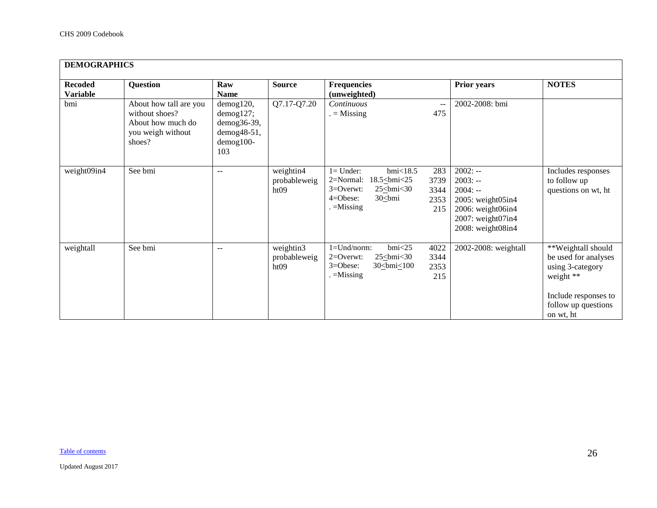| <b>DEMOGRAPHICS</b>               |                                                                                              |                                                                            |                                   |                                                                                                                                                                                              |                                                                                                                         |                                                                                                                                         |  |  |  |  |
|-----------------------------------|----------------------------------------------------------------------------------------------|----------------------------------------------------------------------------|-----------------------------------|----------------------------------------------------------------------------------------------------------------------------------------------------------------------------------------------|-------------------------------------------------------------------------------------------------------------------------|-----------------------------------------------------------------------------------------------------------------------------------------|--|--|--|--|
| <b>Recoded</b><br><b>Variable</b> | Question                                                                                     | Raw<br><b>Name</b>                                                         | <b>Source</b>                     | <b>Frequencies</b><br>(unweighted)                                                                                                                                                           | <b>Prior years</b>                                                                                                      | <b>NOTES</b>                                                                                                                            |  |  |  |  |
| bmi                               | About how tall are you<br>without shoes?<br>About how much do<br>you weigh without<br>shoes? | demog120,<br>demog127;<br>demog36-39,<br>demog48-51,<br>$demog100-$<br>103 | Q7.17-Q7.20                       | Continuous<br>$-$<br>$=$ Missing<br>475                                                                                                                                                      | 2002-2008: bmi                                                                                                          |                                                                                                                                         |  |  |  |  |
| weight09in4                       | See bmi                                                                                      | $\sim$ $\sim$                                                              | weightin4<br>probableweig<br>ht09 | $bmi$ <18.5<br>$l =$ Under:<br>283<br>2=Normal:<br>$18.5 \leq bmi < 25$<br>3739<br>$3=0$ verwt:<br>$25 \leq bmi < 30$<br>3344<br>$4 = Obese:$<br>$30 \leq bmi$<br>2353<br>$=$ Missing<br>215 | $2002: -$<br>$2003: -$<br>$2004: -$<br>2005: weight05in4<br>2006: weight06in4<br>2007: weight07in4<br>2008: weight08in4 | Includes responses<br>to follow up<br>questions on wt, ht                                                                               |  |  |  |  |
| weightall                         | See bmi                                                                                      | $\sim$ $\sim$                                                              | weightin3<br>probableweig<br>ht09 | $bmi$ <25<br>$1 = Und/norm$ :<br>4022<br>$2=0$ verwt:<br>$25 \leq b$ mi<30<br>3344<br>$3 = O$ bese:<br>$30$ cbmi $< 100$<br>2353<br>$=$ Missing<br>215                                       | 2002-2008: weightall                                                                                                    | **Weightall should<br>be used for analyses<br>using 3-category<br>weight **<br>Include responses to<br>follow up questions<br>on wt, ht |  |  |  |  |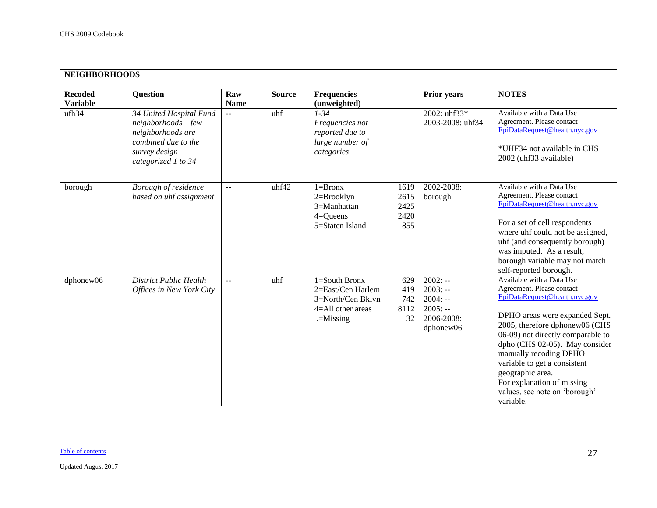<span id="page-26-0"></span>

|                                   | <b>NEIGHBORHOODS</b>                                                                                                                  |                    |               |                                                                                                     |                                     |                                                                             |                                                                                                                                                                                                                                                                                                                                                                                              |  |  |  |
|-----------------------------------|---------------------------------------------------------------------------------------------------------------------------------------|--------------------|---------------|-----------------------------------------------------------------------------------------------------|-------------------------------------|-----------------------------------------------------------------------------|----------------------------------------------------------------------------------------------------------------------------------------------------------------------------------------------------------------------------------------------------------------------------------------------------------------------------------------------------------------------------------------------|--|--|--|
| <b>Recoded</b><br><b>Variable</b> | <b>Question</b>                                                                                                                       | Raw<br><b>Name</b> | <b>Source</b> | Frequencies<br>(unweighted)                                                                         |                                     | <b>Prior years</b>                                                          | <b>NOTES</b>                                                                                                                                                                                                                                                                                                                                                                                 |  |  |  |
| ufh34                             | 34 United Hospital Fund<br>$neighbourhoods$ – few<br>neighborhoods are<br>combined due to the<br>survey design<br>categorized 1 to 34 | $\overline{a}$     | uhf           | $1 - 34$<br>Frequencies not<br>reported due to<br>large number of<br>categories                     |                                     | 2002: uhf33*<br>2003-2008: uhf34                                            | Available with a Data Use<br>Agreement. Please contact<br>EpiDataRequest@health.nyc.gov<br>*UHF34 not available in CHS<br>2002 (uhf33 available)                                                                                                                                                                                                                                             |  |  |  |
| borough                           | Borough of residence<br>based on uhf assignment                                                                                       | $-$                | uhf42         | $1 = Bronx$<br>$2 = Brooklyn$<br>3=Manhattan<br>$4 =$ Queens<br>5=Staten Island                     | 1619<br>2615<br>2425<br>2420<br>855 | 2002-2008:<br>borough                                                       | Available with a Data Use<br>Agreement. Please contact<br>EpiDataRequest@health.nyc.gov<br>For a set of cell respondents<br>where uhf could not be assigned,<br>uhf (and consequently borough)<br>was imputed. As a result,<br>borough variable may not match<br>self-reported borough.                                                                                                      |  |  |  |
| dphonew06                         | <b>District Public Health</b><br>Offices in New York City                                                                             | $\overline{a}$     | uhf           | $1 =$ South Bronx<br>2=East/Cen Harlem<br>3=North/Cen Bklyn<br>$4 =$ All other areas<br>$=$ Missing | 629<br>419<br>742<br>8112<br>32     | $2002: -$<br>$2003: -$<br>$2004: -$<br>$2005: -$<br>2006-2008:<br>dphonew06 | Available with a Data Use<br>Agreement. Please contact<br>EpiDataRequest@health.nyc.gov<br>DPHO areas were expanded Sept.<br>2005, therefore dphonew06 (CHS<br>06-09) not directly comparable to<br>dpho (CHS 02-05). May consider<br>manually recoding DPHO<br>variable to get a consistent<br>geographic area.<br>For explanation of missing<br>values, see note on 'borough'<br>variable. |  |  |  |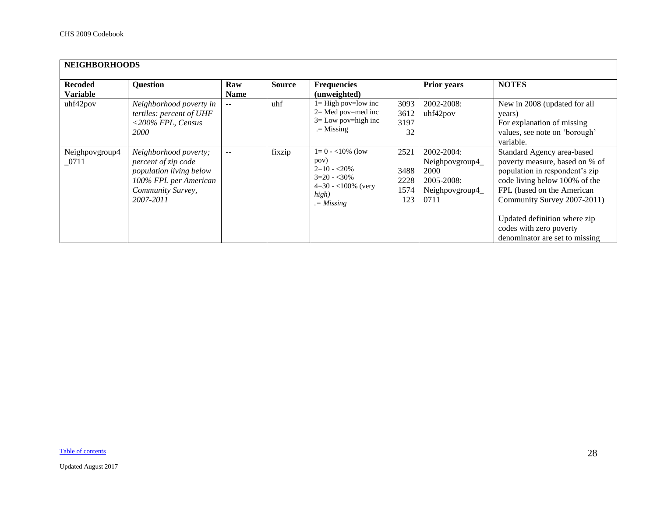| <b>NEIGHBORHOODS</b>              |                                                                                                                                    |                    |               |                                                                                                             |                                     |                                                                               |                                                                                                                                                                                              |  |  |  |
|-----------------------------------|------------------------------------------------------------------------------------------------------------------------------------|--------------------|---------------|-------------------------------------------------------------------------------------------------------------|-------------------------------------|-------------------------------------------------------------------------------|----------------------------------------------------------------------------------------------------------------------------------------------------------------------------------------------|--|--|--|
| <b>Recoded</b><br><b>Variable</b> | <b>Question</b>                                                                                                                    | Raw<br><b>Name</b> | <b>Source</b> | <b>Frequencies</b><br>(unweighted)                                                                          |                                     | <b>Prior years</b>                                                            | <b>NOTES</b>                                                                                                                                                                                 |  |  |  |
| uhf42pov                          | Neighborhood poverty in<br>tertiles: percent of UHF<br><200% FPL, Census<br><i>2000</i>                                            | $\qquad \qquad -$  | uhf           | $l = High$ pov=low inc<br>$2=$ Med pov=med inc<br>$3 =$ Low pov=high inc<br>$=$ Missing                     | 3093<br>3612<br>3197<br>32          | 2002-2008:<br>uhf42pov                                                        | New in 2008 (updated for all<br>years)<br>For explanation of missing<br>values, see note on 'borough'<br>variable.                                                                           |  |  |  |
| Neighpovgroup4<br>$-0711$         | Neighborhood poverty;<br>percent of zip code<br>population living below<br>100% FPL per American<br>Community Survey,<br>2007-2011 | $- -$              | fixzip        | $1=0 - 10\%$ (low<br>pov)<br>$2=10 - 20\%$<br>$3=20 - 30\%$<br>$4=30 - 100\%$ (very<br>high)<br>$= Missing$ | 2521<br>3488<br>2228<br>1574<br>123 | 2002-2004:<br>Neighpovgroup4<br>2000<br>2005-2008:<br>Neighpovgroup4_<br>0711 | Standard Agency area-based<br>poverty measure, based on % of<br>population in respondent's zip<br>code living below 100% of the<br>FPL (based on the American<br>Community Survey 2007-2011) |  |  |  |
|                                   |                                                                                                                                    |                    |               |                                                                                                             |                                     |                                                                               | Updated definition where zip<br>codes with zero poverty<br>denominator are set to missing                                                                                                    |  |  |  |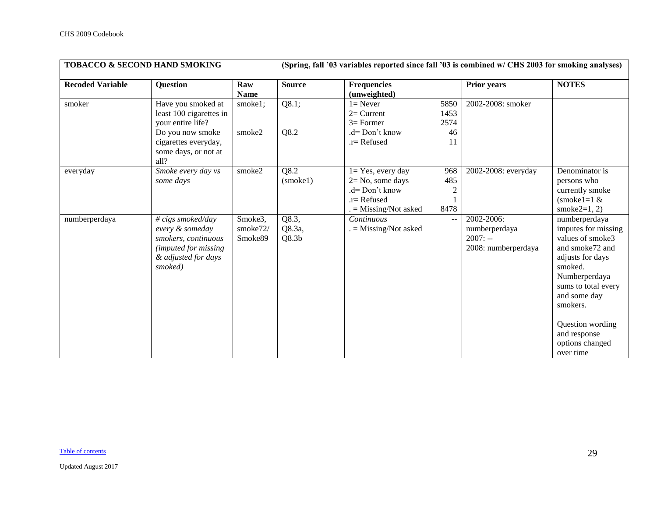<span id="page-28-0"></span>

| <b>TOBACCO &amp; SECOND HAND SMOKING</b> |                                                                                                                                                |                                | (Spring, fall '03 variables reported since fall '03 is combined w/ CHS 2003 for smoking analyses) |                                                                                                           |                                  |                                                                 |                                                                                                                                                                                                                                                    |
|------------------------------------------|------------------------------------------------------------------------------------------------------------------------------------------------|--------------------------------|---------------------------------------------------------------------------------------------------|-----------------------------------------------------------------------------------------------------------|----------------------------------|-----------------------------------------------------------------|----------------------------------------------------------------------------------------------------------------------------------------------------------------------------------------------------------------------------------------------------|
| <b>Recoded Variable</b>                  | <b>Question</b>                                                                                                                                | Raw<br><b>Name</b>             | <b>Source</b>                                                                                     | <b>Frequencies</b><br>(unweighted)                                                                        |                                  | <b>Prior years</b>                                              | <b>NOTES</b>                                                                                                                                                                                                                                       |
| smoker                                   | Have you smoked at<br>least 100 cigarettes in<br>your entire life?<br>Do you now smoke<br>cigarettes everyday,<br>some days, or not at<br>all? | smoke1;<br>smoke2              | Q8.1;<br>Q8.2                                                                                     | $1 =$ Never<br>$2=$ Current<br>$3=$ Former<br>.d= Don't know<br>$.r =$ Refused                            | 5850<br>1453<br>2574<br>46<br>11 | 2002-2008: smoker                                               |                                                                                                                                                                                                                                                    |
| everyday                                 | Smoke every day vs<br>some days                                                                                                                | smoke2                         | Q8.2<br>(smoke1)                                                                                  | $1 = Yes$ , every day<br>$2 = No$ , some days<br>.d= Don't know<br>$r =$ Refused<br>$=$ Missing/Not asked | 968<br>485<br>8478               | 2002-2008: everyday                                             | Denominator is<br>persons who<br>currently smoke<br>$(smoke1=1 &$<br>smoke $2=1, 2$                                                                                                                                                                |
| numberperdaya                            | $\# \text{cigs smoked/day}$<br>every & someday<br>smokers, continuous<br>(imputed for missing<br>& adjusted for days<br>smoked)                | Smoke3,<br>smoke72/<br>Smoke89 | Q8.3,<br>Q8.3a,<br>Q8.3 <sub>b</sub>                                                              | Continuous<br>$=$ Missing/Not asked                                                                       |                                  | 2002-2006:<br>numberperdaya<br>$2007: -$<br>2008: numberperdaya | numberperdaya<br>imputes for missing<br>values of smoke3<br>and smoke72 and<br>adjusts for days<br>smoked.<br>Numberperdaya<br>sums to total every<br>and some day<br>smokers.<br>Question wording<br>and response<br>options changed<br>over time |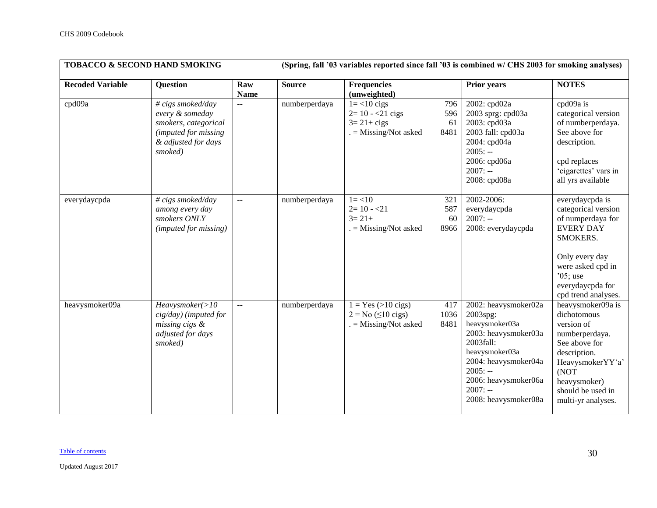|                         | <b>TOBACCO &amp; SECOND HAND SMOKING</b>                                                                                |                             |               | (Spring, fall '03 variables reported since fall '03 is combined w/ CHS 2003 for smoking analyses)     |                          |                                                                                                                                                                                                             |                                                                                                                                                                                             |  |
|-------------------------|-------------------------------------------------------------------------------------------------------------------------|-----------------------------|---------------|-------------------------------------------------------------------------------------------------------|--------------------------|-------------------------------------------------------------------------------------------------------------------------------------------------------------------------------------------------------------|---------------------------------------------------------------------------------------------------------------------------------------------------------------------------------------------|--|
| <b>Recoded Variable</b> | <b>Question</b>                                                                                                         | Raw<br><b>Name</b>          | <b>Source</b> | <b>Frequencies</b><br>(unweighted)                                                                    |                          | <b>Prior years</b>                                                                                                                                                                                          | <b>NOTES</b>                                                                                                                                                                                |  |
| cpd09a                  | # cigs smoked/day<br>every & someday<br>smokers, categorical<br>(imputed for missing)<br>& adjusted for days<br>smoked) | $\overline{a}$              | numberperdaya | $1 = < 10$ cigs<br>$2=10 - 21$ cigs<br>$3 = 21 + cigs$<br>$=$ Missing/Not asked                       | 796<br>596<br>61<br>8481 | 2002: cpd02a<br>2003 sprg: cpd03a<br>2003: cpd03a<br>2003 fall: cpd03a<br>2004: cpd04a<br>$2005: -$<br>2006: cpd06a<br>$2007: -$<br>2008: cpd08a                                                            | cpd09a is<br>categorical version<br>of numberperdaya.<br>See above for<br>description.<br>cpd replaces<br>'cigarettes' vars in<br>all yrs available                                         |  |
| everydaycpda            | # cigs smoked/day<br>among every day<br>smokers ONLY<br>(imputed for missing)                                           | $\overline{a}$              | numberperdaya | $1 = 10$<br>$2=10 - 21$<br>$3 = 21 +$<br>$=$ Missing/Not asked                                        | 321<br>587<br>60<br>8966 | 2002-2006:<br>everydaycpda<br>$2007: -$<br>2008: everydaycpda                                                                                                                                               | everydaycpda is<br>categorical version<br>of numperdaya for<br><b>EVERY DAY</b><br>SMOKERS.<br>Only every day<br>were asked cpd in<br>$05$ ; use<br>everydaycpda for<br>cpd trend analyses. |  |
| heavysmoker09a          | Heavysmoker(>10<br>cig/day) (imputed for<br>missing cigs $\&$<br>adjusted for days<br>smoked)                           | $\mathcal{L}_{\mathcal{F}}$ | numberperdaya | $1 = Yes (>10 \text{ cigs})$<br>$2 = No \left( \leq 10 \text{ cigs} \right)$<br>$=$ Missing/Not asked | 417<br>1036<br>8481      | 2002: heavysmoker02a<br>2003spg:<br>heavysmoker03a<br>2003: heavysmoker03a<br>2003fall:<br>heavysmoker03a<br>2004: heavysmoker04a<br>$2005: -$<br>2006: heavysmoker06a<br>$2007: -$<br>2008: heavysmoker08a | heavysmoker09a is<br>dichotomous<br>version of<br>numberperdaya.<br>See above for<br>description.<br>HeavysmokerYY'a'<br>(NOT<br>heavysmoker)<br>should be used in<br>multi-yr analyses.    |  |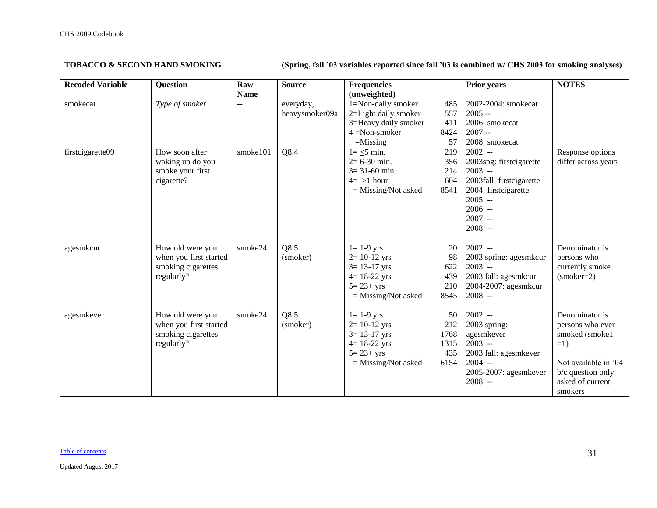|                         | <b>TOBACCO &amp; SECOND HAND SMOKING</b>                                       |                    |                             | (Spring, fall '03 variables reported since fall '03 is combined w/ CHS 2003 for smoking analyses)                       |                                          |                                                                                                                                                           |                                                                                                                                           |  |
|-------------------------|--------------------------------------------------------------------------------|--------------------|-----------------------------|-------------------------------------------------------------------------------------------------------------------------|------------------------------------------|-----------------------------------------------------------------------------------------------------------------------------------------------------------|-------------------------------------------------------------------------------------------------------------------------------------------|--|
| <b>Recoded Variable</b> | <b>Question</b>                                                                | Raw<br><b>Name</b> | <b>Source</b>               | <b>Frequencies</b><br>(unweighted)                                                                                      |                                          | <b>Prior years</b>                                                                                                                                        | <b>NOTES</b>                                                                                                                              |  |
| smokecat                | Type of smoker                                                                 | $-$                | everyday,<br>heavysmoker09a | 1=Non-daily smoker<br>2=Light daily smoker<br>3=Heavy daily smoker<br>$4 = Non-smoker$<br>$=M$ issing                   | 485<br>557<br>411<br>8424<br>57          | 2002-2004: smokecat<br>$2005: -$<br>2006: smokecat<br>$2007: -$<br>2008: smokecat                                                                         |                                                                                                                                           |  |
| firstcigarette09        | How soon after<br>waking up do you<br>smoke your first<br>cigarette?           | smoke101           | Q8.4                        | $1 = 5$ min.<br>$2=6-30$ min.<br>$3 = 31 - 60$ min.<br>$4 = >1$ hour<br>$=$ Missing/Not asked                           | 219<br>356<br>214<br>604<br>8541         | $2002: -$<br>2003spg: firstcigarette<br>$2003: -$<br>2003fall: firstcigarette<br>2004: firstcigarette<br>$2005: -$<br>$2006: -$<br>$2007: -$<br>$2008: -$ | Response options<br>differ across years                                                                                                   |  |
| agesmkcur               | How old were you<br>when you first started<br>smoking cigarettes<br>regularly? | smoke24            | Q8.5<br>(smoker)            | $1=1-9$ yrs<br>$2 = 10 - 12$ yrs<br>$3 = 13 - 17$ yrs<br>$4 = 18 - 22$ yrs<br>$5 = 23 + yrs$<br>$=$ Missing/Not asked   | 20<br>98<br>622<br>439<br>210<br>8545    | $2002: -$<br>2003 spring: agesmkcur<br>$2003: -$<br>2003 fall: agesmkcur<br>2004-2007: agesmkcur<br>$2008: -$                                             | Denominator is<br>persons who<br>currently smoke<br>$(smoker=2)$                                                                          |  |
| agesmkever              | How old were you<br>when you first started<br>smoking cigarettes<br>regularly? | smoke24            | Q8.5<br>(smoker)            | $1 = 1-9$ yrs<br>$2 = 10 - 12$ yrs<br>$3 = 13 - 17$ yrs<br>$4 = 18 - 22$ yrs<br>$5 = 23 + yrs$<br>$=$ Missing/Not asked | 50<br>212<br>1768<br>1315<br>435<br>6154 | $2002: -$<br>2003 spring:<br>agesmkever<br>$2003: -$<br>2003 fall: agesmkever<br>$2004: -$<br>2005-2007: agesmkever<br>$2008: -$                          | Denominator is<br>persons who ever<br>smoked (smoke1<br>$=1)$<br>Not available in '04<br>b/c question only<br>asked of current<br>smokers |  |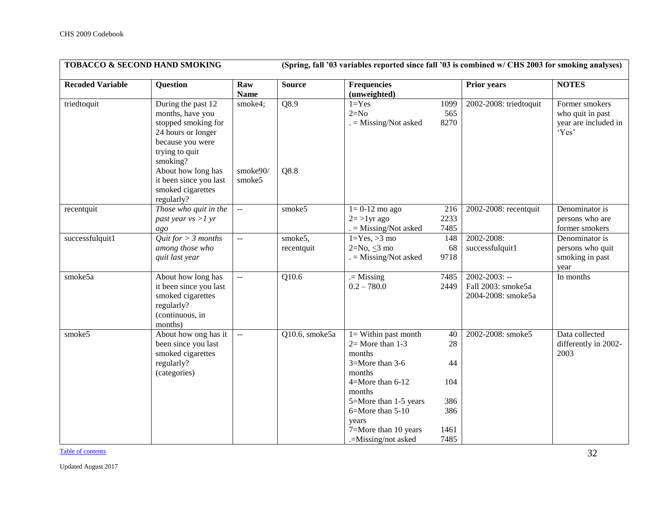| <b>TOBACCO &amp; SECOND HAND SMOKING</b> |                                                                                                                                                                                                                          |                               | (Spring, fall '03 variables reported since fall '03 is combined w/ CHS 2003 for smoking analyses) |                                                                                                                                                                                                                         |                                                     |                                                                |                                                                     |
|------------------------------------------|--------------------------------------------------------------------------------------------------------------------------------------------------------------------------------------------------------------------------|-------------------------------|---------------------------------------------------------------------------------------------------|-------------------------------------------------------------------------------------------------------------------------------------------------------------------------------------------------------------------------|-----------------------------------------------------|----------------------------------------------------------------|---------------------------------------------------------------------|
| <b>Recoded Variable</b>                  | <b>Question</b>                                                                                                                                                                                                          | Raw<br><b>Name</b>            | <b>Source</b>                                                                                     | <b>Frequencies</b><br>(unweighted)                                                                                                                                                                                      |                                                     | <b>Prior years</b>                                             | <b>NOTES</b>                                                        |
| triedtoquit                              | During the past 12<br>months, have you<br>stopped smoking for<br>24 hours or longer<br>because you were<br>trying to quit<br>smoking?<br>About how long has<br>it been since you last<br>smoked cigarettes<br>regularly? | smoke4;<br>smoke90/<br>smoke5 | Q8.9<br>Q8.8                                                                                      | $1 = Yes$<br>$2=N0$<br>$=$ Missing/Not asked                                                                                                                                                                            | 1099<br>565<br>8270                                 | 2002-2008: triedtoquit                                         | Former smokers<br>who quit in past<br>year are included in<br>'Yes' |
| recentquit                               | Those who quit in the<br>past year $vs >l yr$<br>ago                                                                                                                                                                     | $\mathbb{L}^{\mathbb{L}}$     | smoke5                                                                                            | $1=0-12$ mo ago<br>$2 = >1$ yr ago<br>$=$ Missing/Not asked                                                                                                                                                             | 216<br>2233<br>7485                                 | 2002-2008: recentquit                                          | Denominator is<br>persons who are<br>former smokers                 |
| successfulquit1                          | Quit for $> 3$ months<br>among those who<br>quit last year                                                                                                                                                               | $\mathbb{L}^{\mathbb{L}}$     | smoke5,<br>recentquit                                                                             | $1 = Yes, >3$ mo<br>$2=No, \leq 3 mo$<br>$=$ Missing/Not asked                                                                                                                                                          | 148<br>68<br>9718                                   | 2002-2008:<br>successfulquit1                                  | Denominator is<br>persons who quit<br>smoking in past<br>year       |
| smoke5a                                  | About how long has<br>it been since you last<br>smoked cigarettes<br>regularly?<br>(continuous, in<br>months)                                                                                                            | $\mathbb{L}^{\mathbb{L}}$     | Q10.6                                                                                             | $=$ Missing<br>$0.2 - 780.0$                                                                                                                                                                                            | 7485<br>2449                                        | $2002 - 2003$ : --<br>Fall 2003: smoke5a<br>2004-2008: smoke5a | In months                                                           |
| smoke5                                   | About how ong has it<br>been since you last<br>smoked cigarettes<br>regularly?<br>(categories)                                                                                                                           | $\mathbb{H}^{\mathbb{H}}$     | Q10.6, smoke5a                                                                                    | $l =$ Within past month<br>$2=$ More than 1-3<br>months<br>3=More than 3-6<br>months<br>4=More than 6-12<br>months<br>5=More than 1-5 years<br>6=More than 5-10<br>years<br>7=More than 10 years<br>.=Missing/not asked | 40<br>28<br>44<br>104<br>386<br>386<br>1461<br>7485 | 2002-2008: smoke5                                              | Data collected<br>differently in 2002-<br>2003                      |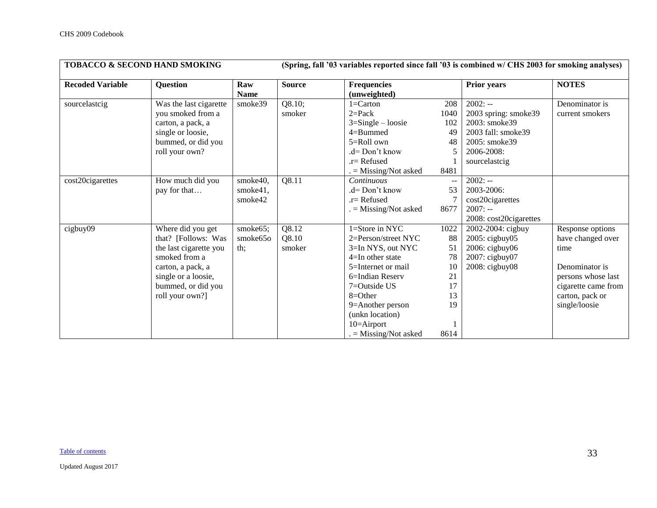| <b>TOBACCO &amp; SECOND HAND SMOKING</b> |                        |             | (Spring, fall '03 variables reported since fall '03 is combined w/ CHS 2003 for smoking analyses) |                       |      |                        |                     |  |
|------------------------------------------|------------------------|-------------|---------------------------------------------------------------------------------------------------|-----------------------|------|------------------------|---------------------|--|
| <b>Recoded Variable</b>                  | <b>Question</b>        | Raw         | <b>Source</b>                                                                                     | <b>Frequencies</b>    |      | <b>Prior years</b>     | <b>NOTES</b>        |  |
|                                          |                        | <b>Name</b> |                                                                                                   | (unweighted)          |      |                        |                     |  |
| sourcelastcig                            | Was the last cigarette | smoke39     | Q8.10;                                                                                            | $1 =$ Carton          | 208  | $2002: -$              | Denominator is      |  |
|                                          | you smoked from a      |             | smoker                                                                                            | $2 = Pack$            | 1040 | 2003 spring: smoke39   | current smokers     |  |
|                                          | carton, a pack, a      |             |                                                                                                   | $3 =$ Single – loosie | 102  | 2003: smoke39          |                     |  |
|                                          | single or loosie,      |             |                                                                                                   | 4=Bummed              | 49   | 2003 fall: smoke39     |                     |  |
|                                          | bummed, or did you     |             |                                                                                                   | 5=Roll own            | 48   | 2005: smoke39          |                     |  |
|                                          | roll your own?         |             |                                                                                                   | $d=Don't know$        |      | 2006-2008:             |                     |  |
|                                          |                        |             |                                                                                                   | $.r=$ Refused         |      | sourcelastcig          |                     |  |
|                                          |                        |             |                                                                                                   | $=$ Missing/Not asked | 8481 |                        |                     |  |
| cost20cigarettes                         | How much did you       | smoke40,    | Q8.11                                                                                             | Continuous            |      | $2002: -$              |                     |  |
|                                          | pay for that           | smoke41,    |                                                                                                   | .d= Don't know        | 53   | 2003-2006:             |                     |  |
|                                          |                        | smoke42     |                                                                                                   | $r =$ Refused         |      | cost20cigarettes       |                     |  |
|                                          |                        |             |                                                                                                   | $=$ Missing/Not asked | 8677 | $2007: -$              |                     |  |
|                                          |                        |             |                                                                                                   |                       |      | 2008: cost20cigarettes |                     |  |
| cigbuy09                                 | Where did you get      | smoke65;    | Q8.12                                                                                             | 1=Store in NYC        | 1022 | 2002-2004: cigbuy      | Response options    |  |
|                                          | that? [Follows: Was    | smoke65o    | Q8.10                                                                                             | 2=Person/street NYC   | 88   | 2005: cigbuy05         | have changed over   |  |
|                                          | the last cigarette you | th;         | smoker                                                                                            | 3=In NYS, out NYC     | 51   | 2006: cigbuy06         | time                |  |
|                                          | smoked from a          |             |                                                                                                   | $4=$ In other state   | 78   | 2007: cigbuy07         |                     |  |
|                                          | carton, a pack, a      |             |                                                                                                   | 5=Internet or mail    | 10   | 2008: cigbuy08         | Denominator is      |  |
|                                          | single or a loosie,    |             |                                                                                                   | 6=Indian Reserv       | 21   |                        | persons whose last  |  |
|                                          | bummed, or did you     |             |                                                                                                   | 7=Outside US          | 17   |                        | cigarette came from |  |
|                                          | roll your own?]        |             |                                                                                                   | $8 = Other$           | 13   |                        | carton, pack or     |  |
|                                          |                        |             |                                                                                                   | $9 =$ Another person  | 19   |                        | single/loosie       |  |
|                                          |                        |             |                                                                                                   | (unkn location)       |      |                        |                     |  |
|                                          |                        |             |                                                                                                   | $10 =$ Airport        |      |                        |                     |  |
|                                          |                        |             |                                                                                                   | $=$ Missing/Not asked | 8614 |                        |                     |  |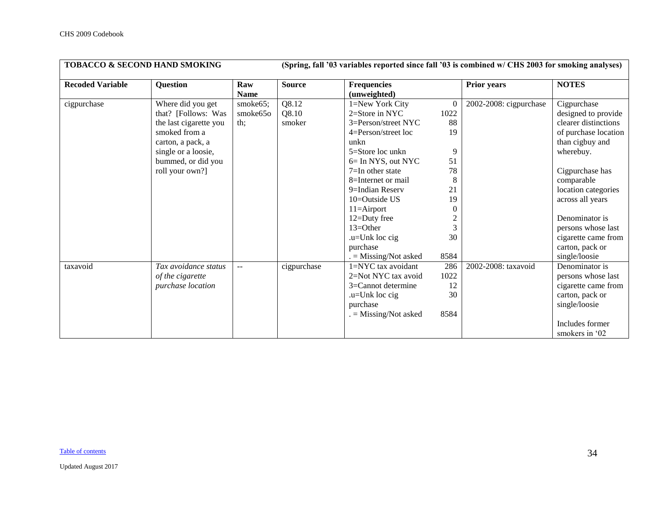|                         | <b>TOBACCO &amp; SECOND HAND SMOKING</b> |                      |               | (Spring, fall '03 variables reported since fall '03 is combined w/ CHS 2003 for smoking analyses) |                |                        |                      |  |  |
|-------------------------|------------------------------------------|----------------------|---------------|---------------------------------------------------------------------------------------------------|----------------|------------------------|----------------------|--|--|
| <b>Recoded Variable</b> | <b>Question</b>                          | Raw                  | <b>Source</b> | <b>Frequencies</b>                                                                                |                | <b>Prior years</b>     | <b>NOTES</b>         |  |  |
|                         |                                          | <b>Name</b>          |               | (unweighted)                                                                                      |                |                        |                      |  |  |
| cigpurchase             | Where did you get                        | smoke65;             | Q8.12         | 1=New York City                                                                                   | $\overline{0}$ | 2002-2008: cigpurchase | Cigpurchase          |  |  |
|                         | that? [Follows: Was                      | smoke <sub>650</sub> | Q8.10         | $2=$ Store in NYC                                                                                 | 1022           |                        | designed to provide  |  |  |
|                         | the last cigarette you                   | th:                  | smoker        | 3=Person/street NYC                                                                               | 88             |                        | clearer distinctions |  |  |
|                         | smoked from a                            |                      |               | 4=Person/street loc                                                                               | 19             |                        | of purchase location |  |  |
|                         | carton, a pack, a                        |                      |               | unkn                                                                                              |                |                        | than cigbuy and      |  |  |
|                         | single or a loosie,                      |                      |               | 5=Store loc unkn                                                                                  | 9              |                        | wherebuy.            |  |  |
|                         | bummed, or did you                       |                      |               | 6= In NYS, out NYC                                                                                | 51             |                        |                      |  |  |
|                         | roll your own?]                          |                      |               | $7=$ In other state                                                                               | 78             |                        | Cigpurchase has      |  |  |
|                         |                                          |                      |               | 8=Internet or mail                                                                                | 8              |                        | comparable           |  |  |
|                         |                                          |                      |               | $9 = Indian$ Reserv                                                                               | 21             |                        | location categories  |  |  |
|                         |                                          |                      |               | $10 =$ Outside US                                                                                 | 19             |                        | across all years     |  |  |
|                         |                                          |                      |               | $11 =$ Airport                                                                                    | $\overline{0}$ |                        |                      |  |  |
|                         |                                          |                      |               | 12=Duty free                                                                                      | $\overline{c}$ |                        | Denominator is       |  |  |
|                         |                                          |                      |               | $13=Other$                                                                                        | $\overline{3}$ |                        | persons whose last   |  |  |
|                         |                                          |                      |               | .u=Unk loc cig                                                                                    | 30             |                        | cigarette came from  |  |  |
|                         |                                          |                      |               | purchase                                                                                          |                |                        | carton, pack or      |  |  |
|                         |                                          |                      |               | $=$ Missing/Not asked                                                                             | 8584           |                        | single/loosie        |  |  |
| taxavoid                | $\overline{a}$ avoidance status          | $\mathbf{u}$         | cigpurchase   | 1=NYC tax avoidant                                                                                | 286            | 2002-2008: taxavoid    | Denominator is       |  |  |
|                         | of the cigarette                         |                      |               | 2=Not NYC tax avoid                                                                               | 1022           |                        | persons whose last   |  |  |
|                         | purchase location                        |                      |               | 3=Cannot determine                                                                                | 12             |                        | cigarette came from  |  |  |
|                         |                                          |                      |               | $.u=Unk$ loc cig                                                                                  | 30             |                        | carton, pack or      |  |  |
|                         |                                          |                      |               | purchase                                                                                          |                |                        | single/loosie        |  |  |
|                         |                                          |                      |               | $=$ Missing/Not asked                                                                             | 8584           |                        |                      |  |  |
|                         |                                          |                      |               |                                                                                                   |                |                        | Includes former      |  |  |
|                         |                                          |                      |               |                                                                                                   |                |                        | smokers in '02       |  |  |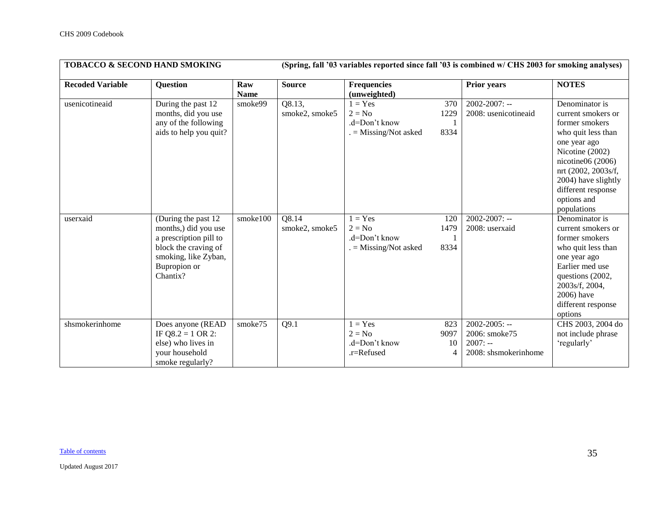|                         | <b>TOBACCO &amp; SECOND HAND SMOKING</b>                                                                                                          |                    |                          | (Spring, fall '03 variables reported since fall '03 is combined w/ CHS 2003 for smoking analyses) |                     |                                                                          |                                                                                                                                                                                                                                          |  |  |
|-------------------------|---------------------------------------------------------------------------------------------------------------------------------------------------|--------------------|--------------------------|---------------------------------------------------------------------------------------------------|---------------------|--------------------------------------------------------------------------|------------------------------------------------------------------------------------------------------------------------------------------------------------------------------------------------------------------------------------------|--|--|
| <b>Recoded Variable</b> | <b>Question</b>                                                                                                                                   | Raw<br><b>Name</b> | <b>Source</b>            | <b>Frequencies</b><br>(unweighted)                                                                |                     | <b>Prior years</b>                                                       | <b>NOTES</b>                                                                                                                                                                                                                             |  |  |
| usenicotineaid          | During the past 12<br>months, did you use<br>any of the following<br>aids to help you quit?                                                       | smoke99            | Q8.13,<br>smoke2, smoke5 | $1 = Yes$<br>$2 = No$<br>$d=Don't know$<br>$=$ Missing/Not asked                                  | 370<br>1229<br>8334 | $2002 - 2007$ : --<br>2008: usenicotineaid                               | Denominator is<br>current smokers or<br>former smokers<br>who quit less than<br>one year ago<br>Nicotine (2002)<br>nicotine $06(2006)$<br>nrt (2002, 2003s/f,<br>2004) have slightly<br>different response<br>options and<br>populations |  |  |
| userxaid                | (During the past 12<br>months,) did you use<br>a prescription pill to<br>block the craving of<br>smoking, like Zyban,<br>Bupropion or<br>Chantix? | smoke100           | Q8.14<br>smoke2, smoke5  | $1 = Yes$<br>$2 = No$<br>.d=Don't know<br>$=$ Missing/Not asked                                   | 120<br>1479<br>8334 | $2002 - 2007$ : --<br>2008: userxaid                                     | Denominator is<br>current smokers or<br>former smokers<br>who quit less than<br>one year ago<br>Earlier med use<br>questions (2002,<br>2003s/f, 2004,<br>2006) have<br>different response<br>options                                     |  |  |
| shsmokerinhome          | Does anyone (READ<br>IF Q8.2 = 1 OR 2:<br>else) who lives in<br>your household<br>smoke regularly?                                                | smoke75            | Q9.1                     | $= Yes$<br>$2 = No$<br>.d=Don't know<br>.r=Refused                                                | 823<br>9097<br>10   | $2002 - 2005$ : --<br>2006: smoke75<br>$2007: -$<br>2008: shsmokerinhome | CHS 2003, 2004 do<br>not include phrase<br>'regularly'                                                                                                                                                                                   |  |  |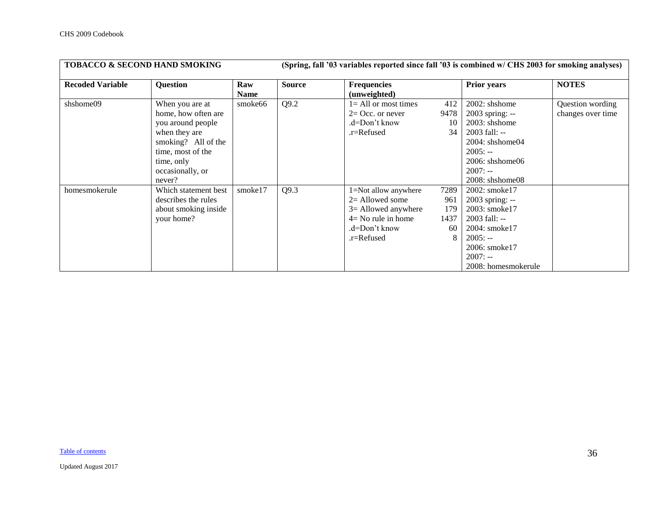| <b>TOBACCO &amp; SECOND HAND SMOKING</b> |                                                                                                                                                                      |                    | (Spring, fall '03 variables reported since fall '03 is combined w/ CHS 2003 for smoking analyses) |                                                                                                                            |                                       |                                                                                                                                                                               |                                       |  |  |
|------------------------------------------|----------------------------------------------------------------------------------------------------------------------------------------------------------------------|--------------------|---------------------------------------------------------------------------------------------------|----------------------------------------------------------------------------------------------------------------------------|---------------------------------------|-------------------------------------------------------------------------------------------------------------------------------------------------------------------------------|---------------------------------------|--|--|
| <b>Recoded Variable</b>                  | <b>Question</b>                                                                                                                                                      | Raw<br><b>Name</b> | <b>Source</b>                                                                                     | <b>Frequencies</b><br>(unweighted)                                                                                         |                                       | <b>Prior years</b>                                                                                                                                                            | <b>NOTES</b>                          |  |  |
| shshome09                                | When you are at<br>home, how often are<br>you around people<br>when they are<br>smoking? All of the<br>time, most of the<br>time, only<br>occasionally, or<br>never? | smoke66            | Q9.2                                                                                              | $l = All$ or most times<br>$2=$ Occ. or never<br>.d=Don't know<br>.r=Refused                                               | 412<br>9478<br>10<br>34               | $2002$ : shshome<br>2003 spring: --<br>$2003$ : shshome<br>2003 fall: --<br>$2004$ : shshome $04$<br>$2005: -$<br>$2006$ : shshome $06$<br>$2007: -$<br>$2008$ : shshome $08$ | Question wording<br>changes over time |  |  |
| homesmokerule                            | Which statement best<br>describes the rules<br>about smoking inside<br>your home?                                                                                    | smoke17            | Q9.3                                                                                              | 1=Not allow anywhere<br>$2=$ Allowed some<br>$3=$ Allowed anywhere<br>$4 = No$ rule in home<br>.d=Don't know<br>.r=Refused | 7289<br>961<br>179<br>1437<br>60<br>8 | 2002: smoke17<br>2003 spring: --<br>2003: smoke17<br>$2003$ fall: $-$<br>2004: smoke17<br>$2005: -$<br>2006: smoke17<br>$2007: -$<br>2008: homesmokerule                      |                                       |  |  |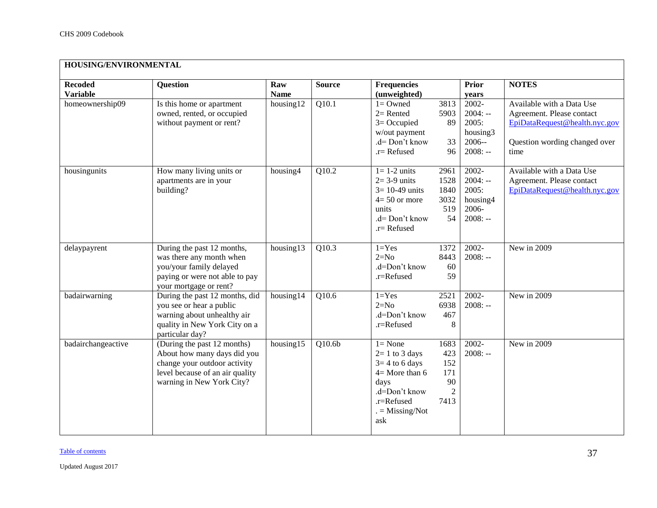<span id="page-36-0"></span>

|                                   | HOUSING/ENVIRONMENTAL                                                                                                                                      |                    |                    |                                                                                                                                                                |                                                                                    |                                                                                                                                  |  |  |  |  |  |
|-----------------------------------|------------------------------------------------------------------------------------------------------------------------------------------------------------|--------------------|--------------------|----------------------------------------------------------------------------------------------------------------------------------------------------------------|------------------------------------------------------------------------------------|----------------------------------------------------------------------------------------------------------------------------------|--|--|--|--|--|
| <b>Recoded</b><br><b>Variable</b> | <b>Question</b>                                                                                                                                            | Raw<br><b>Name</b> | <b>Source</b>      | <b>Frequencies</b><br>(unweighted)                                                                                                                             | <b>Prior</b><br>years                                                              | <b>NOTES</b>                                                                                                                     |  |  |  |  |  |
| homeownership09                   | Is this home or apartment<br>owned, rented, or occupied<br>without payment or rent?                                                                        | housing12          | $\overline{Q10.1}$ | $l =$ Owned<br>3813<br>$2=$ Rented<br>5903<br>$3=$ Occupied<br>w/out payment<br>.d= Don't know<br>$.r =$ Refused                                               | 2002-<br>$2004: -$<br>2005:<br>89<br>housing3<br>$2006 -$<br>33<br>96<br>$2008: -$ | Available with a Data Use<br>Agreement. Please contact<br>EpiDataRequest@health.nyc.gov<br>Question wording changed over<br>time |  |  |  |  |  |
| housingunits                      | How many living units or<br>apartments are in your<br>building?                                                                                            | housing4           | Q10.2              | $l = 1-2$ units<br>2961<br>$2=3-9$ units<br>1528<br>$3 = 10-49$ units<br>1840<br>$4=50$ or more<br>3032<br>units<br>.d= Don't know<br>$.r =$ Refused           | 2002-<br>$2004: -$<br>2005:<br>housing4<br>519<br>2006-<br>54<br>$2008: -$         | Available with a Data Use<br>Agreement. Please contact<br>EpiDataRequest@health.nyc.gov                                          |  |  |  |  |  |
| delaypayrent                      | During the past 12 months,<br>was there any month when<br>you/your family delayed<br>paying or were not able to pay<br>your mortgage or rent?              | housing13          | Q10.3              | $1 = Yes$<br>1372<br>$2=N0$<br>8443<br>.d=Don't know<br>.r=Refused                                                                                             | $2002 -$<br>$2008: -$<br>60<br>59                                                  | New in 2009                                                                                                                      |  |  |  |  |  |
| badairwarning                     | During the past 12 months, did<br>you see or hear a public<br>warning about unhealthy air<br>quality in New York City on a<br>particular day?              | housing14          | Q10.6              | $1 = Yes$<br>2521<br>$2=N0$<br>6938<br>.d=Don't know<br>.r=Refused                                                                                             | $2002 -$<br>$2008: -$<br>467<br>8                                                  | New in 2009                                                                                                                      |  |  |  |  |  |
| badairchangeactive                | (During the past 12 months)<br>About how many days did you<br>change your outdoor activity<br>level because of an air quality<br>warning in New York City? | housing15          | Q10.6 <sub>b</sub> | $l = None$<br>1683<br>$2=1$ to 3 days<br>$3=4$ to 6 days<br>$4=$ More than 6<br>days<br>.d=Don't know<br>7413<br>.r=Refused<br>$. = \text{Missing/Not}$<br>ask | $2002 -$<br>$2008: -$<br>423<br>152<br>171<br>90<br>$\mathbf{2}$                   | New in 2009                                                                                                                      |  |  |  |  |  |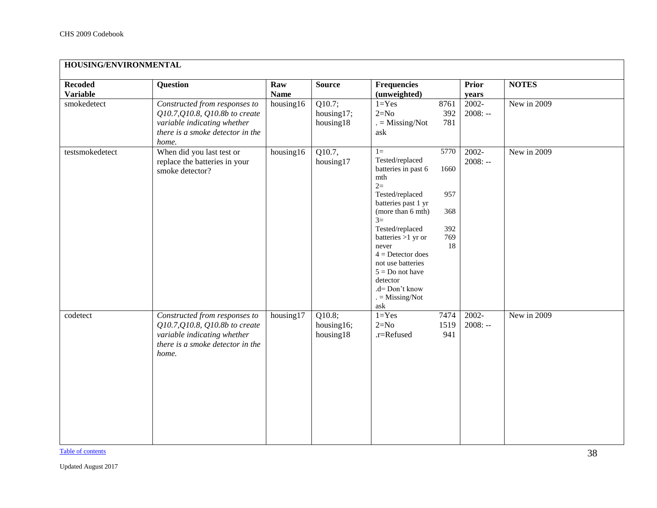| <b>Recoded</b>  | <b>Question</b>                                                                                                                             | Raw          | <b>Source</b>                     | Frequencies                                                                                                                                                                                                                                                                                                                                                             | <b>Prior</b>          | <b>NOTES</b> |
|-----------------|---------------------------------------------------------------------------------------------------------------------------------------------|--------------|-----------------------------------|-------------------------------------------------------------------------------------------------------------------------------------------------------------------------------------------------------------------------------------------------------------------------------------------------------------------------------------------------------------------------|-----------------------|--------------|
| <b>Variable</b> |                                                                                                                                             | <b>Name</b>  |                                   | (unweighted)                                                                                                                                                                                                                                                                                                                                                            | years                 |              |
| smokedetect     | Constructed from responses to<br>Q10.7, Q10.8, Q10.8b to create<br>variable indicating whether<br>there is a smoke detector in the<br>home. | housing16    | Q10.7;<br>housing17;<br>housing18 | $1 = Yes$<br>8761<br>$2=N0$<br>392<br>$. = \text{Missing/Not}$<br>781<br>ask                                                                                                                                                                                                                                                                                            | 2002-<br>$2008: -$    | New in 2009  |
| testsmokedetect | When did you last test or<br>replace the batteries in your<br>smoke detector?                                                               | housing16    | Q10.7,<br>housing17               | $1=$<br>5770<br>Tested/replaced<br>1660<br>batteries in past 6<br>mth<br>$2=$<br>Tested/replaced<br>957<br>batteries past 1 yr<br>368<br>(more than 6 mth)<br>$3=$<br>Tested/replaced<br>392<br>769<br>batteries $>1$ yr or<br>never<br>18<br>$4 =$ Detector does<br>not use batteries<br>$5 = Do$ not have<br>detector<br>.d= Don't know<br>$=$ Missing/Not<br>$a s k$ | $2002 -$<br>$2008: -$ | New in 2009  |
| codetect        | Constructed from responses to<br>Q10.7, Q10.8, Q10.8b to create<br>variable indicating whether<br>there is a smoke detector in the<br>home. | housing $17$ | Q10.8;<br>housing16;<br>housing18 | $1 = Yes$<br>7474<br>$2=N0$<br>1519<br>941<br>.r=Refused                                                                                                                                                                                                                                                                                                                | $2002 -$<br>$2008: -$ | New in 2009  |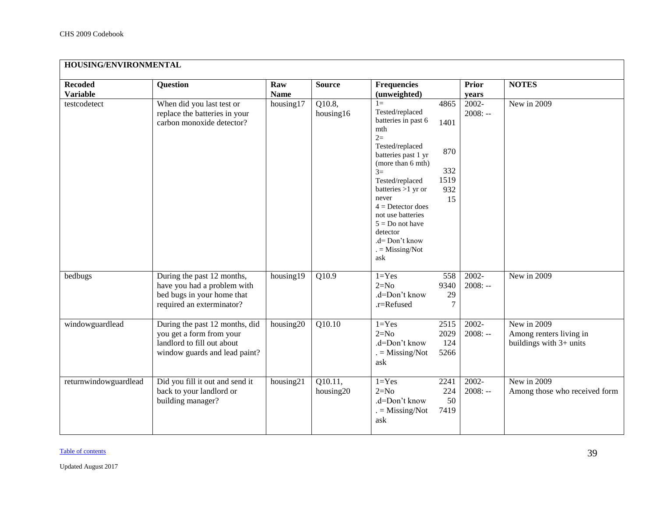| HOUSING/ENVIRONMENTAL             |                                                                                                                           |                    |                      |                                                                                                                                                                                                                                                                                                                             |                                                 |                       |                                                                     |
|-----------------------------------|---------------------------------------------------------------------------------------------------------------------------|--------------------|----------------------|-----------------------------------------------------------------------------------------------------------------------------------------------------------------------------------------------------------------------------------------------------------------------------------------------------------------------------|-------------------------------------------------|-----------------------|---------------------------------------------------------------------|
| <b>Recoded</b><br><b>Variable</b> | <b>Question</b>                                                                                                           | Raw<br><b>Name</b> | <b>Source</b>        | <b>Frequencies</b><br>(unweighted)                                                                                                                                                                                                                                                                                          |                                                 | <b>Prior</b><br>years | <b>NOTES</b>                                                        |
| testcodetect                      | When did you last test or<br>replace the batteries in your<br>carbon monoxide detector?                                   | housing17          | Q10.8,<br>housing16  | $1 =$<br>Tested/replaced<br>batteries in past 6<br>mth<br>$2=$<br>Tested/replaced<br>batteries past 1 yr<br>(more than 6 mth)<br>$3=$<br>Tested/replaced<br>batteries $>1$ yr or<br>never<br>$4 =$ Detector does<br>not use batteries<br>$5 = Do$ not have<br>detector<br>.d= Don't know<br>$. = \text{Missing/Not}$<br>ask | 4865<br>1401<br>870<br>332<br>1519<br>932<br>15 | $2002 -$<br>$2008: -$ | New in 2009                                                         |
| bedbugs                           | During the past 12 months,<br>have you had a problem with<br>bed bugs in your home that<br>required an exterminator?      | housing19          | Q10.9                | $1 = Yes$<br>$2=N0$<br>.d=Don't know<br>.r=Refused                                                                                                                                                                                                                                                                          | 558<br>9340<br>29<br>7                          | $2002 -$<br>$2008: -$ | New in 2009                                                         |
| windowguardlead                   | During the past 12 months, did<br>you get a form from your<br>landlord to fill out about<br>window guards and lead paint? | housing20          | Q10.10               | $1 = Yes$<br>$2=N0$<br>.d=Don't know<br>$. = \text{Missing/Not}$<br>ask                                                                                                                                                                                                                                                     | 2515<br>2029<br>124<br>5266                     | 2002-<br>$2008: -$    | New in 2009<br>Among renters living in<br>buildings with $3+$ units |
| returnwindowguardlead             | Did you fill it out and send it<br>back to your landlord or<br>building manager?                                          | housing21          | Q10.11,<br>housing20 | $1 = Yes$<br>$2=N0$<br>.d=Don't know<br>$=$ Missing/Not<br>ask                                                                                                                                                                                                                                                              | 2241<br>224<br>50<br>7419                       | 2002-<br>$2008: -$    | New in 2009<br>Among those who received form                        |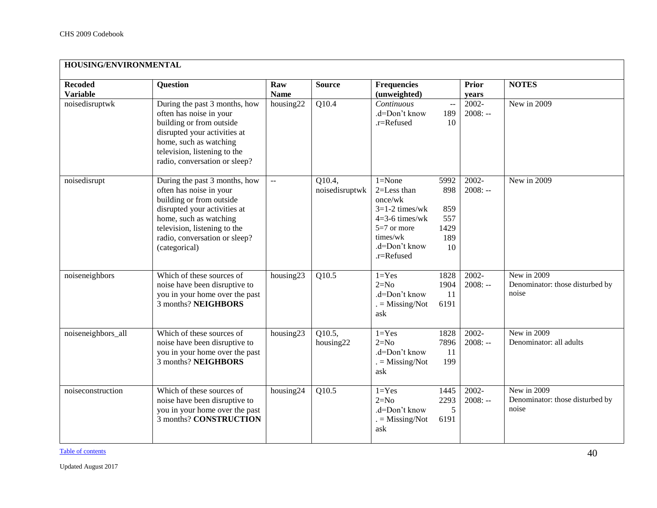| HOUSING/ENVIRONMENTAL             |                                                                                                                                                                                                                                  |                    |                          |                                                                                                                                        |                                                            |                       |                                                         |
|-----------------------------------|----------------------------------------------------------------------------------------------------------------------------------------------------------------------------------------------------------------------------------|--------------------|--------------------------|----------------------------------------------------------------------------------------------------------------------------------------|------------------------------------------------------------|-----------------------|---------------------------------------------------------|
| <b>Recoded</b><br><b>Variable</b> | <b>Question</b>                                                                                                                                                                                                                  | Raw<br><b>Name</b> | <b>Source</b>            | <b>Frequencies</b><br>(unweighted)                                                                                                     |                                                            | <b>Prior</b><br>years | <b>NOTES</b>                                            |
| noisedisruptwk                    | During the past 3 months, how<br>often has noise in your<br>building or from outside<br>disrupted your activities at<br>home, such as watching<br>television, listening to the<br>radio, conversation or sleep?                  | housing22          | Q10.4                    | Continuous<br>.d=Don't know<br>.r=Refused                                                                                              | $\mathord{\hspace{1pt}\text{--}\hspace{1pt}}$<br>189<br>10 | $2002 -$<br>$2008: -$ | New in 2009                                             |
| noisedisrupt                      | During the past 3 months, how<br>often has noise in your<br>building or from outside<br>disrupted your activities at<br>home, such as watching<br>television, listening to the<br>radio, conversation or sleep?<br>(categorical) | $\sim$ $\sim$      | Q10.4,<br>noisedisruptwk | $1 = None$<br>2=Less than<br>once/wk<br>$3=1-2$ times/wk<br>$4=3-6$ times/wk<br>5=7 or more<br>times/wk<br>.d=Don't know<br>.r=Refused | 5992<br>898<br>859<br>557<br>1429<br>189<br>10             | $2002 -$<br>$2008: -$ | New in 2009                                             |
| noiseneighbors                    | Which of these sources of<br>noise have been disruptive to<br>you in your home over the past<br>3 months? NEIGHBORS                                                                                                              | housing23          | Q10.5                    | $1 = Yes$<br>$2=N0$<br>.d=Don't know<br>$. = \text{Missing/Not}$<br>ask                                                                | 1828<br>1904<br>11<br>6191                                 | $2002 -$<br>$2008: -$ | New in 2009<br>Denominator: those disturbed by<br>noise |
| noiseneighbors_all                | Which of these sources of<br>noise have been disruptive to<br>you in your home over the past<br>3 months? NEIGHBORS                                                                                                              | housing23          | Q10.5,<br>housing22      | $1 = Yes$<br>$2=N0$<br>.d=Don't know<br>$=$ Missing/Not<br>ask                                                                         | 1828<br>7896<br>11<br>199                                  | 2002-<br>$2008: -$    | New in 2009<br>Denominator: all adults                  |
| noiseconstruction                 | Which of these sources of<br>noise have been disruptive to<br>you in your home over the past<br>3 months? CONSTRUCTION                                                                                                           | housing24          | Q10.5                    | $1 = Yes$<br>$2=N0$<br>.d=Don't know<br>$=$ Missing/Not<br>ask                                                                         | 1445<br>2293<br>5<br>6191                                  | $2002 -$<br>$2008: -$ | New in 2009<br>Denominator: those disturbed by<br>noise |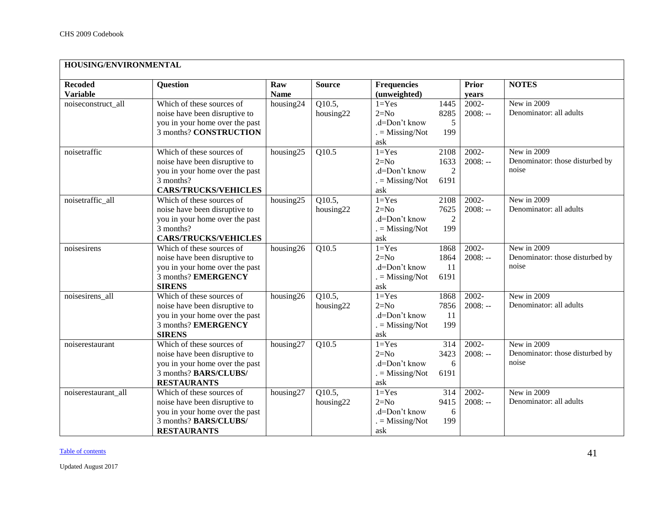| HOUSING/ENVIRONMENTAL             |                                |                    |               |                                    |                |                       |                                 |
|-----------------------------------|--------------------------------|--------------------|---------------|------------------------------------|----------------|-----------------------|---------------------------------|
| <b>Recoded</b><br><b>Variable</b> | <b>Question</b>                | Raw<br><b>Name</b> | <b>Source</b> | <b>Frequencies</b><br>(unweighted) |                | <b>Prior</b><br>years | <b>NOTES</b>                    |
| noiseconstruct_all                | Which of these sources of      | housing24          | Q10.5,        | $1 = Yes$                          | 1445           | 2002-                 | New in 2009                     |
|                                   | noise have been disruptive to  |                    | housing22     | $2=N0$                             | 8285           | $2008: -$             | Denominator: all adults         |
|                                   | you in your home over the past |                    |               | .d=Don't know                      | 5              |                       |                                 |
|                                   | 3 months? CONSTRUCTION         |                    |               | $=$ Missing/Not                    | 199            |                       |                                 |
|                                   |                                |                    |               | ask                                |                |                       |                                 |
| noisetraffic                      | Which of these sources of      | housing25          | Q10.5         | $1 = Yes$                          | 2108           | $2002 -$              | New in 2009                     |
|                                   | noise have been disruptive to  |                    |               | $2=N0$                             | 1633           | $2008: -$             | Denominator: those disturbed by |
|                                   | you in your home over the past |                    |               | .d=Don't know                      | $\overline{2}$ |                       | noise                           |
|                                   | 3 months?                      |                    |               | $=$ Missing/Not                    | 6191           |                       |                                 |
|                                   | <b>CARS/TRUCKS/VEHICLES</b>    |                    |               | ask                                |                |                       |                                 |
| noisetraffic_all                  | Which of these sources of      | housing25          | Q10.5,        | $1 = Yes$                          | 2108           | 2002-                 | New in 2009                     |
|                                   | noise have been disruptive to  |                    | housing22     | $2=N0$                             | 7625           | $2008: -$             | Denominator: all adults         |
|                                   | you in your home over the past |                    |               | .d=Don't know                      | $\overline{2}$ |                       |                                 |
|                                   | 3 months?                      |                    |               | $=$ Missing/Not                    | 199            |                       |                                 |
|                                   | <b>CARS/TRUCKS/VEHICLES</b>    |                    |               | ask                                |                |                       |                                 |
| noisesirens                       | Which of these sources of      | housing26          | Q10.5         | $1 = Yes$                          | 1868           | $2002 -$              | New in 2009                     |
|                                   | noise have been disruptive to  |                    |               | $2=N0$                             | 1864           | $2008: -$             | Denominator: those disturbed by |
|                                   | you in your home over the past |                    |               | .d=Don't know                      | 11             |                       | noise                           |
|                                   | 3 months? EMERGENCY            |                    |               | $=$ Missing/Not                    | 6191           |                       |                                 |
|                                   | <b>SIRENS</b>                  |                    |               | ask                                |                |                       |                                 |
| noisesirens_all                   | Which of these sources of      | housing26          | Q10.5,        | $1 = Yes$                          | 1868           | $2002 -$              | New in 2009                     |
|                                   | noise have been disruptive to  |                    | housing22     | $2=N0$                             | 7856           | $2008: -$             | Denominator: all adults         |
|                                   | you in your home over the past |                    |               | .d=Don't know                      | 11             |                       |                                 |
|                                   | 3 months? EMERGENCY            |                    |               | $=$ Missing/Not                    | 199            |                       |                                 |
|                                   | <b>SIRENS</b>                  |                    |               | ask                                |                |                       |                                 |
| noiserestaurant                   | Which of these sources of      | housing27          | Q10.5         | $1 = Yes$                          | 314            | 2002-                 | New in 2009                     |
|                                   | noise have been disruptive to  |                    |               | $2=N_0$                            | 3423           | $2008: -$             | Denominator: those disturbed by |
|                                   | you in your home over the past |                    |               | .d=Don't know                      | 6              |                       | noise                           |
|                                   | 3 months? BARS/CLUBS/          |                    |               | $=$ Missing/Not                    | 6191           |                       |                                 |
|                                   | <b>RESTAURANTS</b>             |                    |               | ask                                |                |                       |                                 |
| noiserestaurant_all               | Which of these sources of      | housing27          | Q10.5,        | $1 = Yes$                          | 314            | 2002-                 | New in 2009                     |
|                                   | noise have been disruptive to  |                    | housing22     | $2=N0$                             | 9415           | $2008: -$             | Denominator: all adults         |
|                                   | you in your home over the past |                    |               | .d=Don't know                      | 6              |                       |                                 |
|                                   | 3 months? BARS/CLUBS/          |                    |               | $=$ Missing/Not                    | 199            |                       |                                 |
|                                   | <b>RESTAURANTS</b>             |                    |               | ask                                |                |                       |                                 |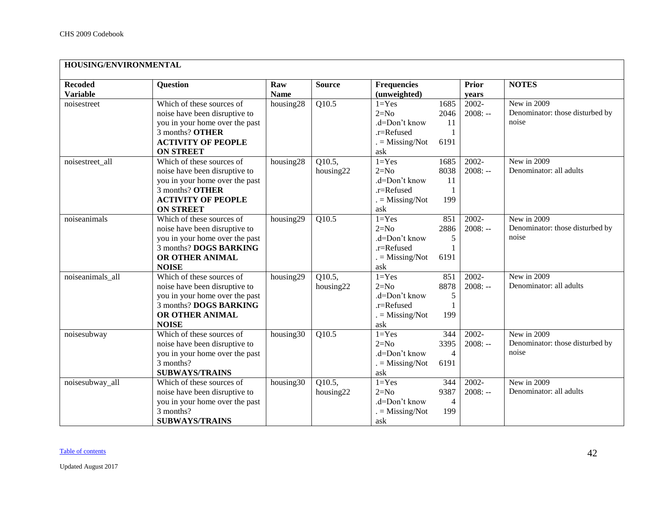| HOUSING/ENVIRONMENTAL             |                                |                    |                    |                                    |                |                       |                                 |
|-----------------------------------|--------------------------------|--------------------|--------------------|------------------------------------|----------------|-----------------------|---------------------------------|
| <b>Recoded</b><br><b>Variable</b> | <b>Question</b>                | Raw<br><b>Name</b> | <b>Source</b>      | <b>Frequencies</b><br>(unweighted) |                | <b>Prior</b><br>years | <b>NOTES</b>                    |
| noisestreet                       | Which of these sources of      | housing28          | Q10.5              | $1 = Yes$                          | 1685           | 2002-                 | New in 2009                     |
|                                   | noise have been disruptive to  |                    |                    | $2=N0$                             | 2046           | $2008: -$             | Denominator: those disturbed by |
|                                   | you in your home over the past |                    |                    | .d=Don't know                      | <b>11</b>      |                       | noise                           |
|                                   | 3 months? OTHER                |                    |                    | .r=Refused                         |                |                       |                                 |
|                                   | <b>ACTIVITY OF PEOPLE</b>      |                    |                    | $=$ Missing/Not                    | 6191           |                       |                                 |
|                                   | <b>ON STREET</b>               |                    |                    | ask                                |                |                       |                                 |
| noisestreet_all                   | Which of these sources of      | housing28          | Q10.5,             | $1 = Yes$                          | 1685           | $2002 -$              | New in 2009                     |
|                                   | noise have been disruptive to  |                    | housing22          | $2=N0$                             | 8038           | $2008: -$             | Denominator: all adults         |
|                                   | you in your home over the past |                    |                    | $d=Don't know$                     | <b>11</b>      |                       |                                 |
|                                   | 3 months? OTHER                |                    |                    | .r=Refused                         | 1              |                       |                                 |
|                                   | <b>ACTIVITY OF PEOPLE</b>      |                    |                    | $=$ Missing/Not                    | 199            |                       |                                 |
|                                   | <b>ON STREET</b>               |                    |                    | ask                                |                |                       |                                 |
| noiseanimals                      | Which of these sources of      | housing29          | $\overline{Q10.5}$ | $1 = Yes$                          | 851            | $2002 -$              | New in 2009                     |
|                                   | noise have been disruptive to  |                    |                    | $2=N0$                             | 2886           | $2008: -$             | Denominator: those disturbed by |
|                                   | you in your home over the past |                    |                    | .d=Don't know                      | 5              |                       | noise                           |
|                                   | 3 months? DOGS BARKING         |                    |                    | .r=Refused                         |                |                       |                                 |
|                                   | OR OTHER ANIMAL                |                    |                    | $=$ Missing/Not                    | 6191           |                       |                                 |
|                                   | <b>NOISE</b>                   |                    |                    | ask                                |                |                       |                                 |
| noiseanimals_all                  | Which of these sources of      | housing29          | Q10.5,             | $1 = Yes$                          | 851            | $2002 -$              | New in 2009                     |
|                                   | noise have been disruptive to  |                    | housing22          | $2=N0$                             | 8878           | $2008: -$             | Denominator: all adults         |
|                                   | you in your home over the past |                    |                    | .d=Don't know                      | 5              |                       |                                 |
|                                   | 3 months? DOGS BARKING         |                    |                    | .r=Refused                         |                |                       |                                 |
|                                   | OR OTHER ANIMAL                |                    |                    | $=$ Missing/Not                    | 199            |                       |                                 |
|                                   | <b>NOISE</b>                   |                    |                    | ask                                |                |                       |                                 |
| noisesubway                       | Which of these sources of      | housing30          | Q10.5              | $1 = Yes$                          | 344            | 2002-                 | New in 2009                     |
|                                   | noise have been disruptive to  |                    |                    | $2=N0$                             | 3395           | $2008: -$             | Denominator: those disturbed by |
|                                   | you in your home over the past |                    |                    | .d=Don't know                      | $\overline{4}$ |                       | noise                           |
|                                   | 3 months?                      |                    |                    | $=$ Missing/Not                    | 6191           |                       |                                 |
|                                   | <b>SUBWAYS/TRAINS</b>          |                    |                    | ask                                |                |                       |                                 |
| noisesubway_all                   | Which of these sources of      | housing30          | Q10.5,             | $1 = Yes$                          | 344            | $2002 -$              | New in 2009                     |
|                                   | noise have been disruptive to  |                    | housing22          | $2=N0$                             | 9387           | $2008: -$             | Denominator: all adults         |
|                                   | you in your home over the past |                    |                    | .d=Don't know                      | $\overline{4}$ |                       |                                 |
|                                   | 3 months?                      |                    |                    | $=$ Missing/Not                    | 199            |                       |                                 |
|                                   | <b>SUBWAYS/TRAINS</b>          |                    |                    | ask                                |                |                       |                                 |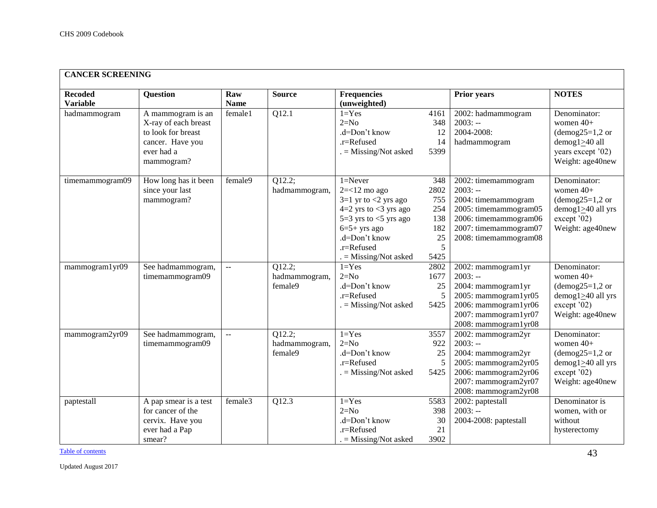<span id="page-42-0"></span>

| <b>CANCER SCREENING</b>           |                                                                                                                 |                           |                                    |                                                                                                                                                                                                   |                                                            |                                                                                                                                                             |                                                                                                                           |
|-----------------------------------|-----------------------------------------------------------------------------------------------------------------|---------------------------|------------------------------------|---------------------------------------------------------------------------------------------------------------------------------------------------------------------------------------------------|------------------------------------------------------------|-------------------------------------------------------------------------------------------------------------------------------------------------------------|---------------------------------------------------------------------------------------------------------------------------|
| <b>Recoded</b><br><b>Variable</b> | <b>Question</b>                                                                                                 | Raw<br><b>Name</b>        | <b>Source</b>                      | <b>Frequencies</b><br>(unweighted)                                                                                                                                                                |                                                            | <b>Prior years</b>                                                                                                                                          | <b>NOTES</b>                                                                                                              |
| hadmammogram                      | A mammogram is an<br>X-ray of each breast<br>to look for breast<br>cancer. Have you<br>ever had a<br>mammogram? | female1                   | Q12.1                              | $1 = Yes$<br>$2=N0$<br>.d=Don't know<br>.r=Refused<br>$=$ Missing/Not asked                                                                                                                       | 4161<br>348<br>12<br>14<br>5399                            | 2002: hadmammogram<br>$2003: -$<br>2004-2008:<br>hadmammogram                                                                                               | Denominator:<br>women 40+<br>$(demog25=1,2 \text{ or }$<br>$d$ emog $1 > 40$ all<br>years except '02)<br>Weight: age40new |
| timemammogram09                   | How long has it been<br>since your last<br>mammogram?                                                           | female9                   | Q12.2;<br>hadmammogram,            | $1 =$ Never<br>$2 = < 12$ mo ago<br>$3=1$ yr to $<2$ yrs ago<br>$4=2$ yrs to $<$ 3 yrs ago<br>$5=3$ yrs to $<5$ yrs ago<br>$6=5+$ yrs ago<br>.d=Don't know<br>.r=Refused<br>$=$ Missing/Not asked | 348<br>2802<br>755<br>254<br>138<br>182<br>25<br>5<br>5425 | 2002: timemammogram<br>$2003: -$<br>2004: timemammogram<br>2005: timemammogram05<br>2006: timemammogram06<br>2007: timemammogram07<br>2008: timemammogram08 | Denominator:<br>women $40+$<br>$(demog25=1,2 \text{ or }$<br>demog $1 \geq 40$ all yrs<br>except '02)<br>Weight: age40new |
| mammogram1yr09                    | See hadmammogram,<br>timemammogram09                                                                            | $\mathbb{L}^{\mathbb{L}}$ | Q12.2;<br>hadmammogram,<br>female9 | $1 = Yes$<br>$2=N0$<br>.d=Don't know<br>.r=Refused<br>$=$ Missing/Not asked                                                                                                                       | 2802<br>1677<br>25<br>5<br>5425                            | 2002: mammogram1yr<br>$2003: -$<br>2004: mammogram1yr<br>2005: mammogram1yr05<br>2006: mammogram1yr06<br>2007: mammogram1yr07<br>2008: mammogram1yr08       | Denominator:<br>women $40+$<br>$(demog25=1,2 \text{ or }$<br>demog $1 \geq 40$ all yrs<br>except '02)<br>Weight: age40new |
| mammogram2yr09                    | See hadmammogram,<br>timemammogram09                                                                            | $\sim$ $\sim$             | Q12.2;<br>hadmammogram,<br>female9 | $1 = Yes$<br>$2=N0$<br>.d=Don't know<br>.r=Refused<br>$=$ Missing/Not asked                                                                                                                       | 3557<br>922<br>25<br>5<br>5425                             | $2002$ : mammogram $2yr$<br>$2003: -$<br>2004: mammogram2yr<br>2005: mammogram2yr05<br>2006: mammogram2yr06<br>2007: mammogram2yr07<br>2008: mammogram2yr08 | Denominator:<br>women 40+<br>$(demog25=1,2 \text{ or }$<br>demog $1 \geq 40$ all yrs<br>except '02)<br>Weight: age40new   |
| paptestall                        | A pap smear is a test<br>for cancer of the<br>cervix. Have you<br>ever had a Pap<br>smear?                      | female3                   | Q12.3                              | $1 = Yes$<br>$2=N0$<br>.d=Don't know<br>.r=Refused<br>$=$ Missing/Not asked                                                                                                                       | 5583<br>398<br>30<br>21<br>3902                            | 2002: paptestall<br>$2003: -$<br>2004-2008: paptestall                                                                                                      | Denominator is<br>women, with or<br>without<br>hysterectomy                                                               |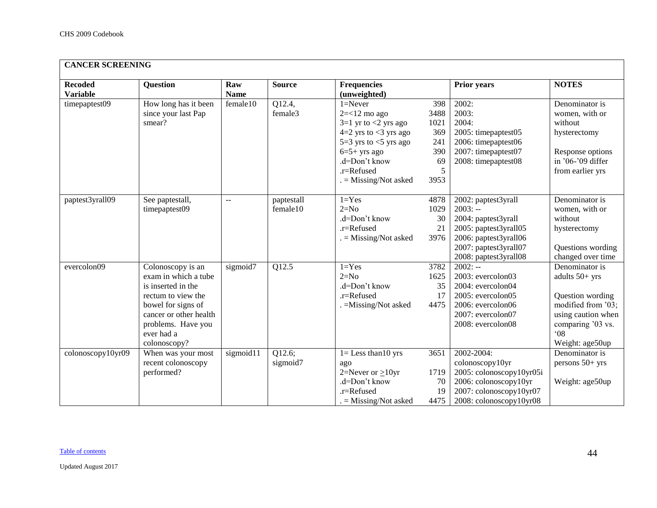|                                   | <b>CANCER SCREENING</b>                                                                                                                                                                   |                    |                        |                                                                                                                                                                                                   |                                                             |                                                                                                                                                             |                                                                                                                                                           |  |  |  |  |  |
|-----------------------------------|-------------------------------------------------------------------------------------------------------------------------------------------------------------------------------------------|--------------------|------------------------|---------------------------------------------------------------------------------------------------------------------------------------------------------------------------------------------------|-------------------------------------------------------------|-------------------------------------------------------------------------------------------------------------------------------------------------------------|-----------------------------------------------------------------------------------------------------------------------------------------------------------|--|--|--|--|--|
| <b>Recoded</b><br><b>Variable</b> | <b>Question</b>                                                                                                                                                                           | Raw<br><b>Name</b> | <b>Source</b>          | <b>Frequencies</b><br>(unweighted)                                                                                                                                                                |                                                             | Prior years                                                                                                                                                 | <b>NOTES</b>                                                                                                                                              |  |  |  |  |  |
| timepaptest09                     | How long has it been<br>since your last Pap<br>smear?                                                                                                                                     | female10           | Q12.4,<br>female3      | $1 =$ Never<br>$2 = < 12$ mo ago<br>$3=1$ yr to $<$ 2 yrs ago<br>$4=2$ yrs to $<$ 3 yrs ago<br>5=3 yrs to $<$ 5 yrs ago<br>$6=5+$ yrs ago<br>.d=Don't know<br>.r=Refused<br>$=$ Missing/Not asked | 398<br>3488<br>1021<br>369<br>241<br>390<br>69<br>5<br>3953 | 2002:<br>2003:<br>2004:<br>2005: timepaptest05<br>2006: timepaptest06<br>2007: timepaptest07<br>2008: timepaptest08                                         | Denominator is<br>women, with or<br>without<br>hysterectomy<br>Response options<br>in '06-'09 differ<br>from earlier yrs                                  |  |  |  |  |  |
| paptest3yrall09                   | See paptestall,<br>timepaptest09                                                                                                                                                          | $\overline{a}$     | paptestall<br>female10 | $1 = Yes$<br>$2=N0$<br>.d=Don't know<br>.r=Refused<br>. = Missing/Not asked                                                                                                                       | 4878<br>1029<br>30<br>21<br>3976                            | 2002: paptest3yrall<br>$2003: -$<br>2004: paptest3yrall<br>2005: paptest3yrall05<br>2006: paptest3yrall06<br>2007: paptest3yrall07<br>2008: paptest3yrall08 | Denominator is<br>women, with or<br>without<br>hysterectomy<br>Questions wording<br>changed over time                                                     |  |  |  |  |  |
| evercolon09                       | Colonoscopy is an<br>exam in which a tube<br>is inserted in the<br>rectum to view the<br>bowel for signs of<br>cancer or other health<br>problems. Have you<br>ever had a<br>colonoscopy? | sigmoid7           | Q12.5                  | $1 = Yes$<br>$2=N0$<br>.d=Don't know<br>.r=Refused<br>. = Missing/Not asked                                                                                                                       | 3782<br>1625<br>35<br>17<br>4475                            | $2002: -$<br>2003: evercolon03<br>2004: evercolon04<br>2005: evercolon05<br>2006: evercolon06<br>$2007$ : evercolon $07$<br>2008: evercolon08               | Denominator is<br>adults 50+ yrs<br>Question wording<br>modified from '03;<br>using caution when<br>comparing '03 vs.<br>$^{\circ}$ 08<br>Weight: age50up |  |  |  |  |  |
| colonoscopy10yr09                 | When was your most<br>recent colonoscopy<br>performed?                                                                                                                                    | sigmoid11          | Q12.6;<br>sigmoid7     | $1 =$ Less than 10 yrs<br>ago<br>$2 =$ Never or $>10$ yr<br>.d=Don't know<br>.r=Refused<br>$=$ Missing/Not asked                                                                                  | 3651<br>1719<br>70<br>19<br>4475                            | 2002-2004:<br>colonoscopy10yr<br>2005: colonoscopy10yr05i<br>2006: colonoscopy10yr<br>2007: colonoscopy10yr07<br>2008: colonoscopy10yr08                    | Denominator is<br>persons 50+ yrs<br>Weight: age50up                                                                                                      |  |  |  |  |  |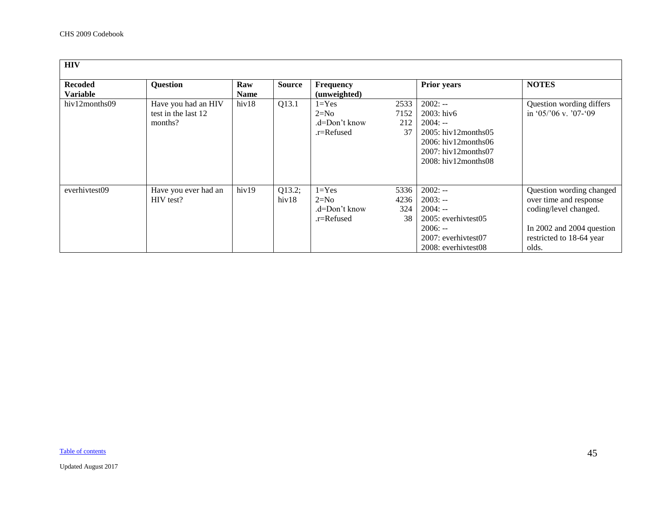<span id="page-44-0"></span>

| <b>HIV</b>                        |                                                       |                    |                 |                                                    |                           |                                                                                                                                                                               |                                                                                                                                               |
|-----------------------------------|-------------------------------------------------------|--------------------|-----------------|----------------------------------------------------|---------------------------|-------------------------------------------------------------------------------------------------------------------------------------------------------------------------------|-----------------------------------------------------------------------------------------------------------------------------------------------|
| <b>Recoded</b><br><b>Variable</b> | <b>Question</b>                                       | Raw<br><b>Name</b> | <b>Source</b>   | Frequency<br>(unweighted)                          |                           | <b>Prior years</b>                                                                                                                                                            | <b>NOTES</b>                                                                                                                                  |
| hiv12months09                     | Have you had an HIV<br>test in the last 12<br>months? | hiv18              | Q13.1           | $1 = Yes$<br>$2=N0$<br>.d=Don't know<br>.r=Refused | 2533<br>7152<br>212<br>37 | $2002: -$<br>$2003:$ hiv $6$<br>$2004: -$<br>$2005$ : hiv $12$ months $05$<br>$2006$ : hiv $12$ months $06$<br>$2007$ : hiv $12$ months $07$<br>$2008$ : hiv $12$ months $08$ | Question wording differs<br>in '05/'06 v. '07-'09                                                                                             |
| everhivtest09                     | Have you ever had an<br>HIV test?                     | hiv19              | Q13.2;<br>hiv18 | $1 = Yes$<br>$2=N0$<br>.d=Don't know<br>.r=Refused | 5336<br>4236<br>324<br>38 | $2002: -$<br>$2003: -$<br>$2004: -$<br>$2005$ : everhivtest $05$<br>$2006: -$<br>2007: everhivtest07<br>2008: everhivtest08                                                   | Question wording changed<br>over time and response<br>coding/level changed.<br>In 2002 and 2004 question<br>restricted to 18-64 year<br>olds. |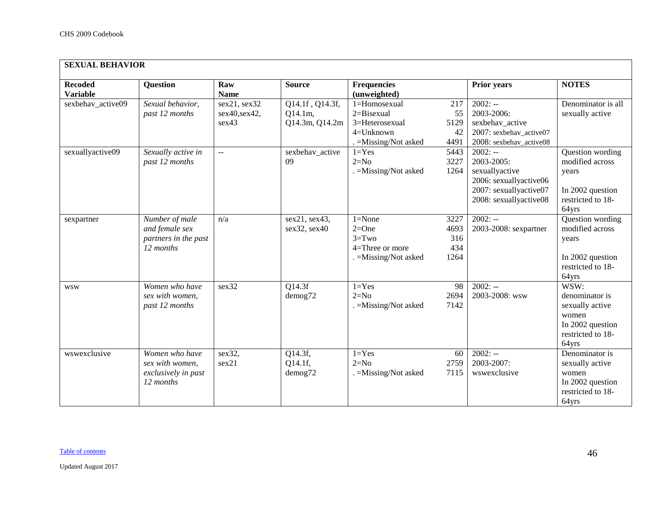<span id="page-45-0"></span>

| <b>SEXUAL BEHAVIOR</b>            |                                                                       |                                        |                                              |                                                                                        |                                    |                                                                                                                         |                                                                                                      |  |  |  |
|-----------------------------------|-----------------------------------------------------------------------|----------------------------------------|----------------------------------------------|----------------------------------------------------------------------------------------|------------------------------------|-------------------------------------------------------------------------------------------------------------------------|------------------------------------------------------------------------------------------------------|--|--|--|
| <b>Recoded</b><br><b>Variable</b> | <b>Question</b>                                                       | Raw<br><b>Name</b>                     | <b>Source</b>                                | <b>Frequencies</b><br>(unweighted)                                                     |                                    | <b>Prior years</b>                                                                                                      | <b>NOTES</b>                                                                                         |  |  |  |
| sexbehav_active09                 | Sexual behavior,<br>past 12 months                                    | sex21, sex32<br>sex40, sex42,<br>sex43 | Q14.1f, Q14.3f,<br>Q14.1m,<br>Q14.3m, Q14.2m | 1=Homosexual<br>2=Bisexual<br>3=Heterosexual<br>$4 =$ Unknown<br>$=M$ issing/Not asked | 217<br>55<br>5129<br>42<br>4491    | $2002: -$<br>2003-2006:<br>sexbehav_active<br>2007: sexbehav_active07<br>2008: sexbehav_active08                        | Denominator is all<br>sexually active                                                                |  |  |  |
| sexuallyactive09                  | Sexually active in<br>past 12 months                                  | $\mathbb{L}^{\mathbb{L}}$              | sexbehav_active<br>09                        | $1 = Yes$<br>$2=N0$<br>=Missing/Not asked                                              | 5443<br>3227<br>1264               | $2002: -$<br>2003-2005:<br>sexuallyactive<br>2006: sexuallyactive06<br>2007: sexuallyactive07<br>2008: sexuallyactive08 | Question wording<br>modified across<br>years<br>In 2002 question<br>restricted to 18-<br>64yrs       |  |  |  |
| sexpartner                        | Number of male<br>and female sex<br>partners in the past<br>12 months | n/a                                    | sex21, sex43,<br>sex32, sex40                | $1 = None$<br>$2=One$<br>$3 = Two$<br>4=Three or more<br>. = Missing/Not asked         | 3227<br>4693<br>316<br>434<br>1264 | $2002: -$<br>2003-2008: sexpartner                                                                                      | Question wording<br>modified across<br>years<br>In 2002 question<br>restricted to 18-<br>64yrs       |  |  |  |
| <b>WSW</b>                        | Women who have<br>sex with women,<br>past 12 months                   | sex32                                  | Q14.3f<br>demog72                            | $1 = Yes$<br>$2=N0$<br>. = Missing/Not asked                                           | 98<br>2694<br>7142                 | $2002: -$<br>2003-2008: wsw                                                                                             | WSW:<br>denominator is<br>sexually active<br>women<br>In 2002 question<br>restricted to 18-<br>64yrs |  |  |  |
| wswexclusive                      | Women who have<br>sex with women,<br>exclusively in past<br>12 months | sex32,<br>sex21                        | Q14.3f,<br>Q14.1f,<br>demog72                | $1 = Yes$<br>$2=N0$<br>=Missing/Not asked                                              | 60<br>2759<br>7115                 | $2002: -$<br>2003-2007:<br>wswexclusive                                                                                 | Denominator is<br>sexually active<br>women<br>In 2002 question<br>restricted to 18-<br>64yrs         |  |  |  |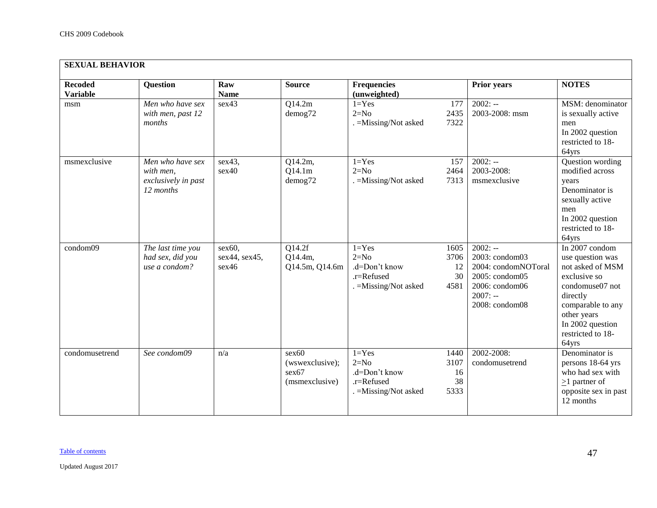| <b>Recoded</b><br><b>Variable</b> | <b>Question</b>                                                   | Raw<br><b>Name</b>               | <b>Source</b>                                       | <b>Frequencies</b><br>(unweighted)                                          |                                  | <b>Prior years</b>                                                                                                    | <b>NOTES</b>                                                                                                                                                                                |
|-----------------------------------|-------------------------------------------------------------------|----------------------------------|-----------------------------------------------------|-----------------------------------------------------------------------------|----------------------------------|-----------------------------------------------------------------------------------------------------------------------|---------------------------------------------------------------------------------------------------------------------------------------------------------------------------------------------|
| msm                               | Men who have sex<br>with men, past 12<br>months                   | sex43                            | Q14.2m<br>demog72                                   | $1 = Yes$<br>$2=N0$<br>. = Missing/Not asked                                | 177<br>2435<br>7322              | $2002: -$<br>2003-2008: msm                                                                                           | MSM: denominator<br>is sexually active<br>men<br>In 2002 question<br>restricted to 18-<br>64yrs                                                                                             |
| msmexclusive                      | Men who have sex<br>with men,<br>exclusively in past<br>12 months | sex43,<br>sex40                  | Q14.2m,<br>Q14.1m<br>demog72                        | $1 = Yes$<br>$2=N0$<br>. = Missing/Not asked                                | 157<br>2464<br>7313              | $2002: -$<br>2003-2008:<br>msmexclusive                                                                               | Question wording<br>modified across<br>years<br>Denominator is<br>sexually active<br>men<br>In 2002 question<br>restricted to 18-<br>64yrs                                                  |
| condom09                          | The last time you<br>had sex, did you<br>use a condom?            | sex60,<br>sex44, sex45,<br>sex46 | Q14.2f<br>Q14.4m,<br>Q14.5m, Q14.6m                 | $1 = Yes$<br>$2=N0$<br>.d=Don't know<br>.r=Refused<br>. = Missing/Not asked | 1605<br>3706<br>12<br>30<br>4581 | $2002: -$<br>2003: condom03<br>2004: condomNOToral<br>2005: condom05<br>2006: condom06<br>$2007: -$<br>2008: condom08 | In 2007 condom<br>use question was<br>not asked of MSM<br>exclusive so<br>condomuse07 not<br>directly<br>comparable to any<br>other years<br>In 2002 question<br>restricted to 18-<br>64yrs |
| condomusetrend                    | See condom09                                                      | n/a                              | sex60<br>(wswexclusive);<br>sex67<br>(msmexclusive) | $1 = Yes$<br>$2=N0$<br>.d=Don't know<br>.r=Refused<br>. = Missing/Not asked | 1440<br>3107<br>16<br>38<br>5333 | 2002-2008:<br>condomusetrend                                                                                          | Denominator is<br>persons 18-64 yrs<br>who had sex with<br>$\geq$ 1 partner of<br>opposite sex in past<br>12 months                                                                         |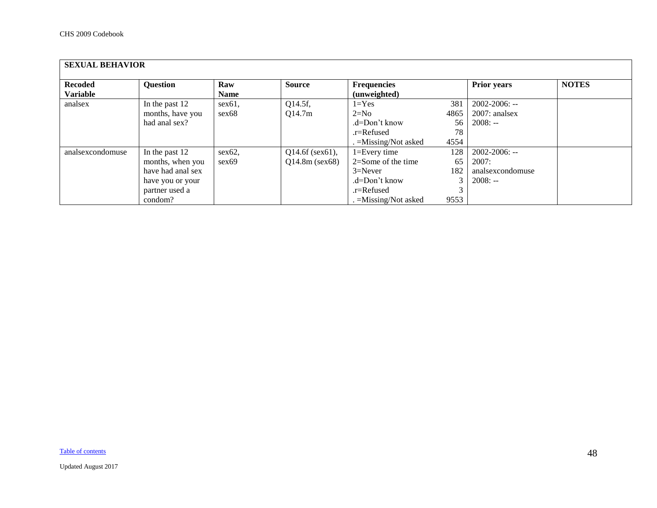|                                   | <b>SEXUAL BEHAVIOR</b>                                                                                   |                    |                                           |                                                                                                                      |                                 |                                                              |              |  |  |  |  |
|-----------------------------------|----------------------------------------------------------------------------------------------------------|--------------------|-------------------------------------------|----------------------------------------------------------------------------------------------------------------------|---------------------------------|--------------------------------------------------------------|--------------|--|--|--|--|
| <b>Recoded</b><br><b>Variable</b> | <b>Question</b>                                                                                          | Raw<br><b>Name</b> | <b>Source</b>                             | <b>Frequencies</b><br>(unweighted)                                                                                   |                                 | <b>Prior years</b>                                           | <b>NOTES</b> |  |  |  |  |
| analsex                           | In the past 12<br>months, have you<br>had anal sex?                                                      | sex61,<br>sex68    | Q14.5f,<br>Q14.7m                         | $1 = Yes$<br>$2=N0$<br>.d=Don't know<br>$r =$ Refused<br>. = Missing/Not asked                                       | 381<br>4865<br>56<br>78<br>4554 | $2002 - 2006$ : --<br>2007: analsex<br>$2008: -$             |              |  |  |  |  |
| analsexcondomuse                  | In the past 12<br>months, when you<br>have had anal sex<br>have you or your<br>partner used a<br>condom? | sex62,<br>sex69    | $Q14.6f$ (sex $61$ ),<br>$Q14.8m$ (sex68) | $1 = Every time$<br>$2=$ Some of the time<br>$3 =$ Never<br>$d=Don't know$<br>$.r =$ Refused<br>. =Missing/Not asked | 128<br>65<br>182<br>9553        | $2002 - 2006$ : --<br>2007:<br>analsexcondomuse<br>$2008: -$ |              |  |  |  |  |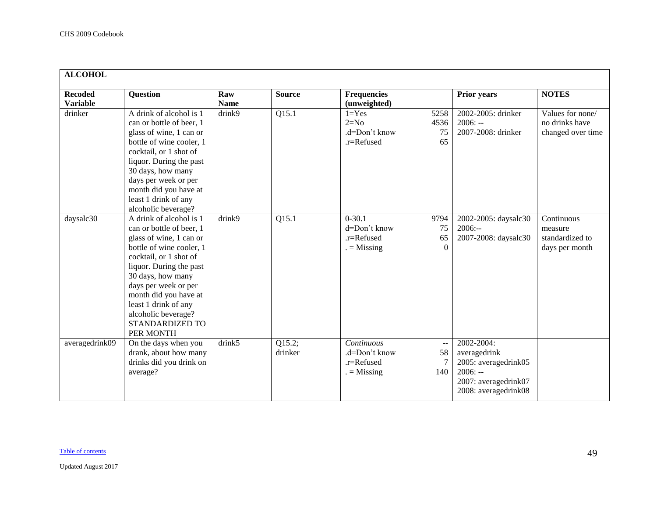<span id="page-48-0"></span>

| <b>ALCOHOL</b>                    |                                                                                                                                                                                                                                                                                                                      |                    |                    |                                                                                                                        |                                                                                                                 |                                                            |
|-----------------------------------|----------------------------------------------------------------------------------------------------------------------------------------------------------------------------------------------------------------------------------------------------------------------------------------------------------------------|--------------------|--------------------|------------------------------------------------------------------------------------------------------------------------|-----------------------------------------------------------------------------------------------------------------|------------------------------------------------------------|
| <b>Recoded</b><br><b>Variable</b> | Question                                                                                                                                                                                                                                                                                                             | Raw<br><b>Name</b> | <b>Source</b>      | <b>Frequencies</b><br>(unweighted)                                                                                     | <b>Prior years</b>                                                                                              | <b>NOTES</b>                                               |
| drinker                           | A drink of alcohol is 1<br>can or bottle of beer, 1<br>glass of wine, 1 can or<br>bottle of wine cooler, 1<br>cocktail, or 1 shot of<br>liquor. During the past<br>30 days, how many<br>days per week or per<br>month did you have at<br>least 1 drink of any<br>alcoholic beverage?                                 | drink9             | $\overline{Q15.1}$ | $1 = Yes$<br>5258<br>$2=N0$<br>4536<br>.d=Don't know<br>75<br>.r=Refused<br>65                                         | 2002-2005: drinker<br>$2006: -$<br>2007-2008: drinker                                                           | Values for none/<br>no drinks have<br>changed over time    |
| daysalc30                         | A drink of alcohol is 1<br>can or bottle of beer, 1<br>glass of wine, 1 can or<br>bottle of wine cooler, 1<br>cocktail, or 1 shot of<br>liquor. During the past<br>30 days, how many<br>days per week or per<br>month did you have at<br>least 1 drink of any<br>alcoholic beverage?<br>STANDARDIZED TO<br>PER MONTH | drink9             | Q15.1              | $0 - 30.1$<br>9794<br>d=Don't know<br>75<br>.r=Refused<br>65<br>$=$ Missing<br>$\theta$                                | 2002-2005: daysalc30<br>$2006: -$<br>2007-2008: daysalc30                                                       | Continuous<br>measure<br>standardized to<br>days per month |
| averagedrink09                    | On the days when you<br>drank, about how many<br>drinks did you drink on<br>average?                                                                                                                                                                                                                                 | drink5             | Q15.2;<br>drinker  | Continuous<br>$\mathord{\hspace{1pt}\text{--}\hspace{1pt}}$<br>58<br>.d=Don't know<br>.r=Refused<br>$=$ Missing<br>140 | 2002-2004:<br>averagedrink<br>2005: averagedrink05<br>$2006: -$<br>2007: averagedrink07<br>2008: averagedrink08 |                                                            |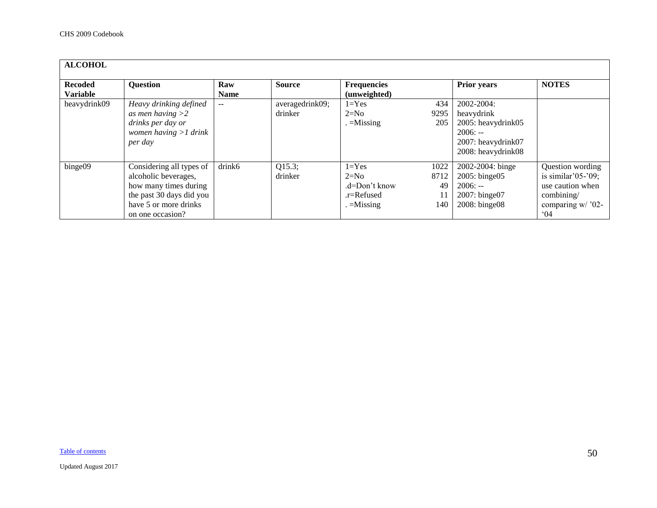| <b>ALCOHOL</b>                    |                                                                                                                                                    |                    |                            |                                                                        |                                 |                                                                                                         |                                                                                                                  |
|-----------------------------------|----------------------------------------------------------------------------------------------------------------------------------------------------|--------------------|----------------------------|------------------------------------------------------------------------|---------------------------------|---------------------------------------------------------------------------------------------------------|------------------------------------------------------------------------------------------------------------------|
| <b>Recoded</b><br><b>Variable</b> | <b>Question</b>                                                                                                                                    | Raw<br><b>Name</b> | <b>Source</b>              | <b>Frequencies</b><br>(unweighted)                                     |                                 | <b>Prior years</b>                                                                                      | <b>NOTES</b>                                                                                                     |
| heavydrink09                      | Heavy drinking defined<br>as men having $>2$<br>drinks per day or<br>women having $>1$ drink<br>per day                                            | $--$               | averagedrink09;<br>drinker | $1 = Yes$<br>$2=N0$<br>$=$ Missing                                     | 434<br>9295<br>205              | 2002-2004:<br>heavydrink<br>2005: heavydrink05<br>$2006: -$<br>2007: heavydrink07<br>2008: heavydrink08 |                                                                                                                  |
| binge09                           | Considering all types of<br>alcoholic beverages,<br>how many times during<br>the past 30 days did you<br>have 5 or more drinks<br>on one occasion? | drink6             | Q15.3;<br>drinker          | $1 = Yes$<br>$2=N0$<br>$d=Don't know$<br>$.r =$ Refused<br>$=$ Missing | 1022<br>8712<br>49<br>11<br>140 | 2002-2004: binge<br>$2005$ : binge $05$<br>$2006: -$<br>2007: binge07<br>2008: binge08                  | Question wording<br>is similar'05-'09;<br>use caution when<br>combining/<br>comparing $w/$ '02-<br>$^{\circ}$ 04 |